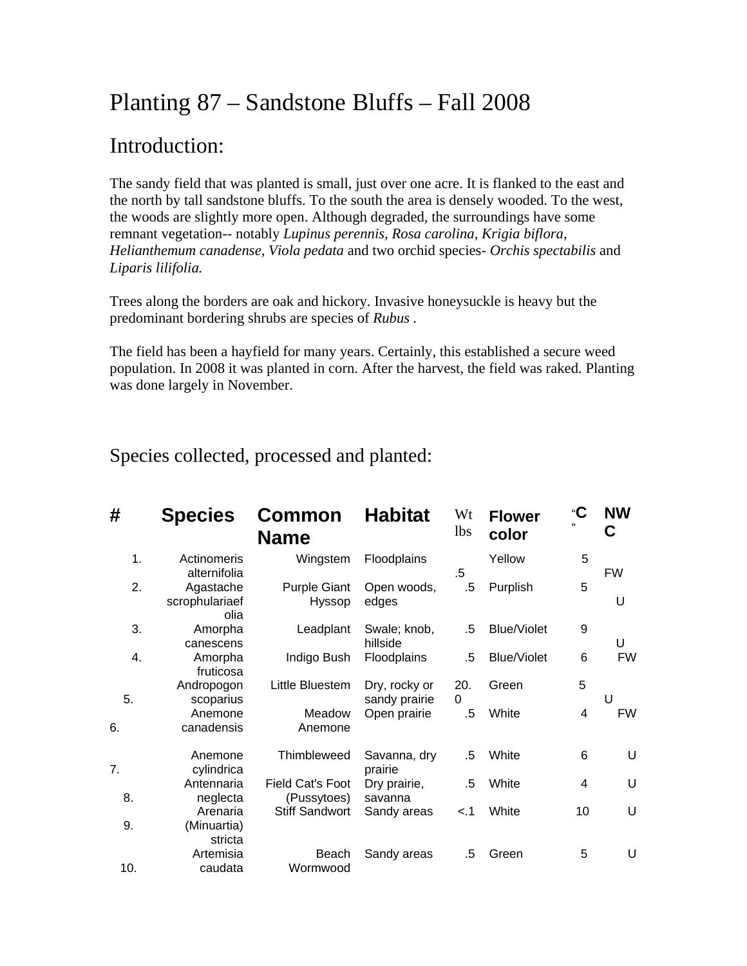# Planting 87 – Sandstone Bluffs – Fall 2008

## Introduction:

The sandy field that was planted is small, just over one acre. It is flanked to the east and the north by tall sandstone bluffs. To the south the area is densely wooded. To the west, the woods are slightly more open. Although degraded, the surroundings have some remnant vegetation-- notably *Lupinus perennis, Rosa carolina, Krigia biflora, Helianthemum canadense, Viola pedata* and two orchid species- *Orchis spectabilis* and *Liparis lilifolia.* 

Trees along the borders are oak and hickory. Invasive honeysuckle is heavy but the predominant bordering shrubs are species of *Rubus .* 

The field has been a hayfield for many years. Certainly, this established a secure weed population. In 2008 it was planted in corn. After the harvest, the field was raked. Planting was done largely in November.

Species collected, processed and planted:

| #   | <b>Species</b>                      | Common<br><b>Name</b>           | <b>Habitat</b>                 | Wt<br><i>lbs</i> | <b>Flower</b><br>color | "C<br>,,       | <b>NW</b><br>C |
|-----|-------------------------------------|---------------------------------|--------------------------------|------------------|------------------------|----------------|----------------|
| 1.  | Actinomeris<br>alternifolia         | Wingstem                        | Floodplains                    | $.5\,$           | Yellow                 | 5              | <b>FW</b>      |
| 2.  | Agastache<br>scrophulariaef<br>olia | <b>Purple Giant</b><br>Hyssop   | Open woods,<br>edges           | .5               | Purplish               | 5              | U              |
| 3.  | Amorpha<br>canescens                | Leadplant                       | Swale; knob,<br>hillside       | .5               | <b>Blue/Violet</b>     | 9              | U              |
| 4.  | Amorpha<br>fruticosa                | Indigo Bush                     | Floodplains                    | .5               | <b>Blue/Violet</b>     | 6              | <b>FW</b>      |
| 5.  | Andropogon<br>scoparius             | Little Bluestem                 | Dry, rocky or<br>sandy prairie | 20.<br>$\Omega$  | Green                  | 5              | U              |
| 6.  | Anemone<br>canadensis               | Meadow<br>Anemone               | Open prairie                   | .5               | White                  | 4              | <b>FW</b>      |
| 7.  | Anemone<br>cylindrica               | Thimbleweed                     | Savanna, dry<br>prairie        | .5               | White                  | 6              | U              |
| 8.  | Antennaria<br>neglecta              | Field Cat's Foot<br>(Pussytoes) | Dry prairie,<br>savanna        | .5               | White                  | $\overline{4}$ | U              |
| 9.  | Arenaria<br>(Minuartia)             | <b>Stiff Sandwort</b>           | Sandy areas                    | < 1              | White                  | 10             | U              |
|     | stricta<br>Artemisia                | Beach                           | Sandy areas                    | .5               | Green                  | 5              | U              |
| 10. | caudata                             | Wormwood                        |                                |                  |                        |                |                |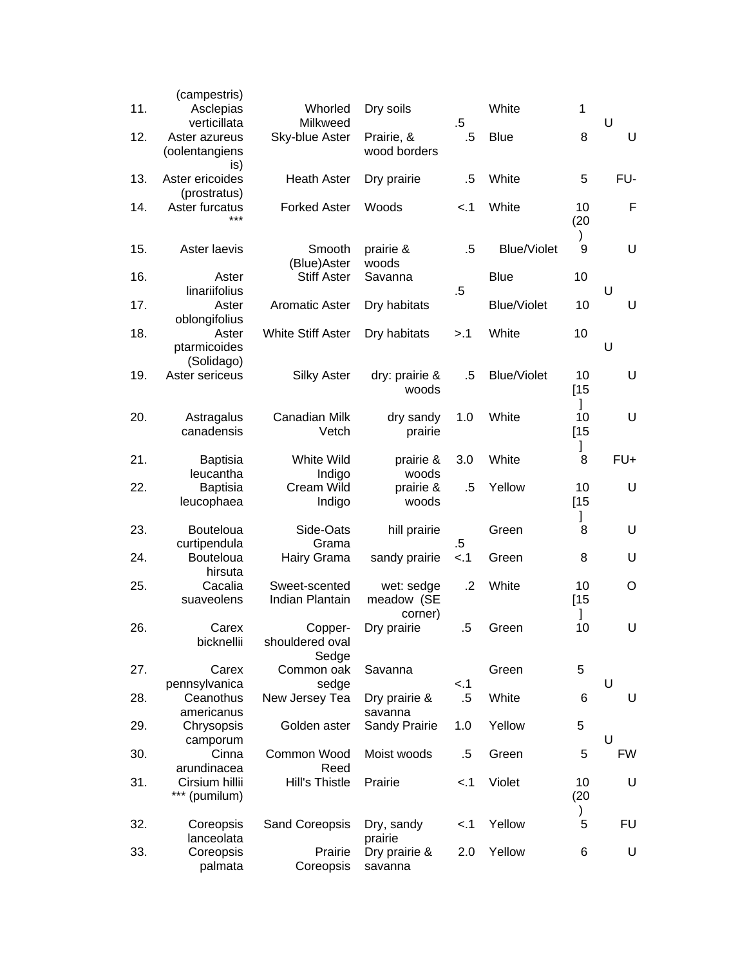| 11. | (campestris)<br>Asclepias<br>verticillata | Whorled<br>Milkweed                 | Dry soils                           | $.5\,$ | White              | 1                  | U         |
|-----|-------------------------------------------|-------------------------------------|-------------------------------------|--------|--------------------|--------------------|-----------|
| 12. | Aster azureus<br>(oolentangiens           | Sky-blue Aster                      | Prairie, &<br>wood borders          | .5     | <b>Blue</b>        | 8                  | U         |
| 13. | is)<br>Aster ericoides<br>(prostratus)    | <b>Heath Aster</b>                  | Dry prairie                         | $.5\,$ | White              | 5                  | FU-       |
| 14. | Aster furcatus<br>***                     | <b>Forked Aster</b>                 | Woods                               | < 1    | White              | 10<br>(20)         | F         |
| 15. | Aster laevis                              | Smooth<br>(Blue)Aster               | prairie &<br>woods                  | .5     | <b>Blue/Violet</b> | $\mathcal{L}$<br>9 | U         |
| 16. | Aster<br>linariifolius                    | <b>Stiff Aster</b>                  | Savanna                             | $.5\,$ | <b>Blue</b>        | 10                 | U         |
| 17. | Aster<br>oblongifolius                    | <b>Aromatic Aster</b>               | Dry habitats                        |        | <b>Blue/Violet</b> | 10                 | U         |
| 18. | Aster<br>ptarmicoides<br>(Solidago)       | <b>White Stiff Aster</b>            | Dry habitats                        | >.1    | White              | 10                 | U         |
| 19. | Aster sericeus                            | <b>Silky Aster</b>                  | dry: prairie &<br>woods             | .5     | Blue/Violet        | 10<br>[15]<br>1    | U         |
| 20. | Astragalus<br>canadensis                  | Canadian Milk<br>Vetch              | dry sandy<br>prairie                | 1.0    | White              | 10<br>[15]         | U         |
| 21. | <b>Baptisia</b><br>leucantha              | White Wild<br>Indigo                | prairie &<br>woods                  | 3.0    | White              | I<br>8             | FU+       |
| 22. | <b>Baptisia</b><br>leucophaea             | Cream Wild<br>Indigo                | prairie &<br>woods                  | $.5\,$ | Yellow             | 10<br>[15]         | U         |
| 23. | <b>Bouteloua</b><br>curtipendula          | Side-Oats<br>Grama                  | hill prairie                        | $.5\,$ | Green              | I<br>8             | U         |
| 24. | Bouteloua<br>hirsuta                      | Hairy Grama                         | sandy prairie                       | $-.1$  | Green              | 8                  | U         |
| 25. | Cacalia<br>suaveolens                     | Sweet-scented<br>Indian Plantain    | wet: sedge<br>meadow (SE<br>corner) | .2     | White              | 10<br>$[15$        | O         |
| 26. | Carex<br>bicknellii                       | Copper-<br>shouldered oval<br>Sedge | Dry prairie                         | $.5\,$ | Green              | 10                 | U         |
| 27. | Carex<br>pennsylvanica                    | Common oak<br>sedge                 | Savanna                             | < 1    | Green              | 5                  | U         |
| 28. | Ceanothus<br>americanus                   | New Jersey Tea                      | Dry prairie &<br>savanna            | $.5\,$ | White              | 6                  | U         |
| 29. | Chrysopsis<br>camporum                    | Golden aster                        | Sandy Prairie                       | 1.0    | Yellow             | 5                  | U         |
| 30. | Cinna<br>arundinacea                      | Common Wood<br>Reed                 | Moist woods                         | $.5\,$ | Green              | 5                  | <b>FW</b> |
| 31. | Cirsium hillii<br>*** (pumilum)           | Hill's Thistle                      | Prairie                             | < 1    | Violet             | 10<br>(20)         | U         |
| 32. | Coreopsis<br>lanceolata                   | Sand Coreopsis                      | Dry, sandy<br>prairie               | < 1    | Yellow             | )<br>5             | <b>FU</b> |
| 33. | Coreopsis<br>palmata                      | Prairie<br>Coreopsis                | Dry prairie &<br>savanna            | 2.0    | Yellow             | 6                  | U         |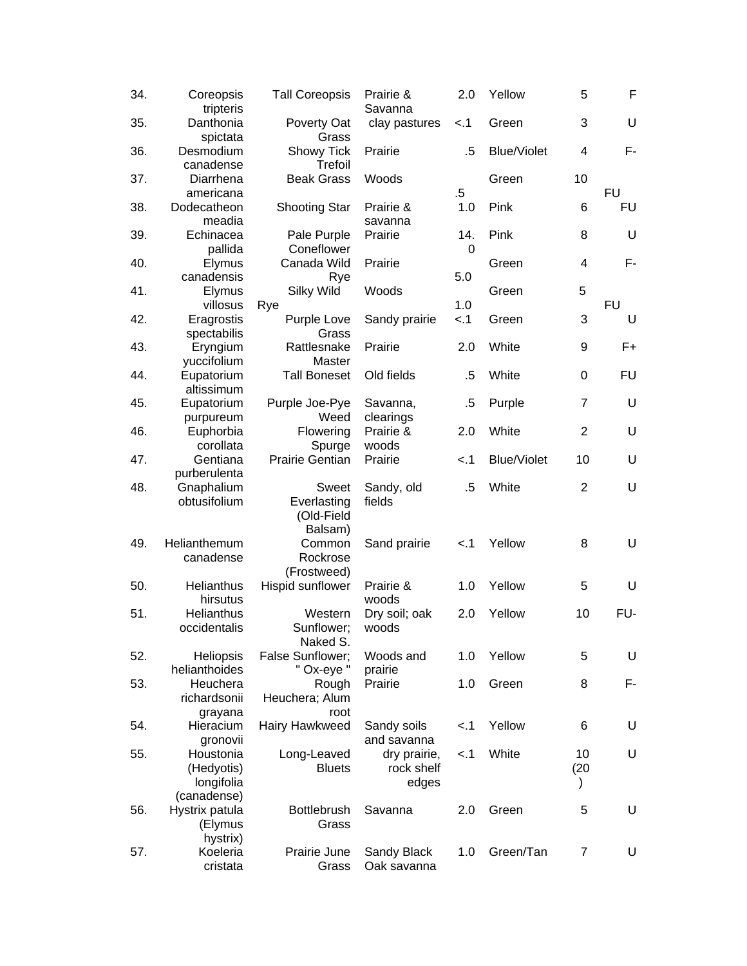| 34. | Coreopsis<br>tripteris                               | <b>Tall Coreopsis</b>                         | Prairie &<br>Savanna                | 2.0      | Yellow             | 5               | F         |
|-----|------------------------------------------------------|-----------------------------------------------|-------------------------------------|----------|--------------------|-----------------|-----------|
| 35. | Danthonia<br>spictata                                | Poverty Oat<br>Grass                          | clay pastures                       | < 1      | Green              | 3               | U         |
| 36. | Desmodium<br>canadense                               | Showy Tick<br>Trefoil                         | Prairie                             | .5       | <b>Blue/Violet</b> | 4               | F-        |
| 37. | Diarrhena<br>americana                               | <b>Beak Grass</b>                             | Woods                               | $.5\,$   | Green              | 10              | <b>FU</b> |
| 38. | Dodecatheon<br>meadia                                | <b>Shooting Star</b>                          | Prairie &<br>savanna                | 1.0      | Pink               | 6               | <b>FU</b> |
| 39. | Echinacea<br>pallida                                 | Pale Purple<br>Coneflower                     | Prairie                             | 14.<br>0 | Pink               | 8               | U         |
| 40. | Elymus<br>canadensis                                 | Canada Wild<br>Rye                            | Prairie                             | 5.0      | Green              | 4               | F-        |
| 41. | Elymus<br>villosus                                   | Silky Wild<br>Rye                             | Woods                               | 1.0      | Green              | 5               | <b>FU</b> |
| 42. | Eragrostis<br>spectabilis                            | Purple Love<br>Grass                          | Sandy prairie                       | < 1      | Green              | 3               | U         |
| 43. | Eryngium<br>yuccifolium                              | Rattlesnake<br>Master                         | Prairie                             | 2.0      | White              | 9               | $F+$      |
| 44. | Eupatorium<br>altissimum                             | <b>Tall Boneset</b>                           | Old fields                          | $.5\,$   | White              | 0               | <b>FU</b> |
| 45. | Eupatorium<br>purpureum                              | Purple Joe-Pye<br>Weed                        | Savanna,<br>clearings               | $.5\,$   | Purple             | $\overline{7}$  | U         |
| 46. | Euphorbia<br>corollata                               | Flowering<br>Spurge                           | Prairie &<br>woods                  | 2.0      | White              | $\overline{2}$  | U         |
| 47. | Gentiana<br>purberulenta                             | <b>Prairie Gentian</b>                        | Prairie                             | < 1      | <b>Blue/Violet</b> | 10              | U         |
| 48. | Gnaphalium<br>obtusifolium                           | Sweet<br>Everlasting<br>(Old-Field<br>Balsam) | Sandy, old<br>fields                | .5       | White              | 2               | U         |
| 49. | Helianthemum<br>canadense                            | Common<br>Rockrose<br>(Frostweed)             | Sand prairie                        | $-.1$    | Yellow             | 8               | U         |
| 50. | Helianthus<br>hirsutus                               | Hispid sunflower                              | Prairie &<br>woods                  | 1.0      | Yellow             | 5               | U         |
| 51. | Helianthus<br>occidentalis                           | Western<br>Sunflower;<br>Naked S.             | Dry soil; oak<br>woods              | 2.0      | Yellow             | 10              | FU-       |
| 52. | Heliopsis<br>helianthoides                           | False Sunflower;<br>" Ox-eye "                | Woods and<br>prairie                | 1.0      | Yellow             | 5               | U         |
| 53. | Heuchera<br>richardsonii<br>grayana                  | Rough<br>Heuchera; Alum<br>root               | Prairie                             | 1.0      | Green              | 8               | F-        |
| 54. | Hieracium<br>gronovii                                | Hairy Hawkweed                                | Sandy soils<br>and savanna          | < 1      | Yellow             | 6               | U         |
| 55. | Houstonia<br>(Hedyotis)<br>longifolia<br>(canadense) | Long-Leaved<br><b>Bluets</b>                  | dry prairie,<br>rock shelf<br>edges | < 1      | White              | 10<br>(20)<br>) | U         |
| 56. | Hystrix patula<br>(Elymus<br>hystrix)                | <b>Bottlebrush</b><br>Grass                   | Savanna                             | 2.0      | Green              | 5               | U         |
| 57. | Koeleria<br>cristata                                 | Prairie June<br>Grass                         | Sandy Black<br>Oak savanna          | 1.0      | Green/Tan          | $\overline{7}$  | U         |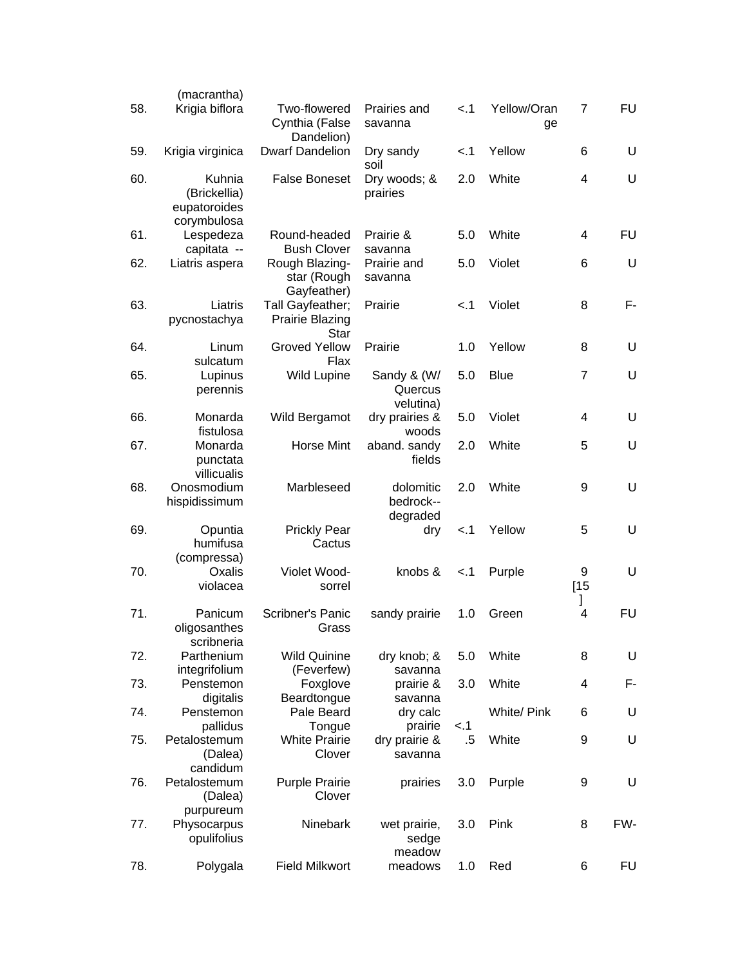| 58. | (macrantha)<br>Krigia biflora              | Two-flowered                                | Prairies and                    | < 1    | Yellow/Oran | 7              | <b>FU</b> |
|-----|--------------------------------------------|---------------------------------------------|---------------------------------|--------|-------------|----------------|-----------|
|     |                                            | Cynthia (False<br>Dandelion)                | savanna                         |        | ge          |                |           |
| 59. | Krigia virginica                           | <b>Dwarf Dandelion</b>                      | Dry sandy<br>soil               | < 1    | Yellow      | 6              | U         |
| 60. | Kuhnia<br>(Brickellia)<br>eupatoroides     | <b>False Boneset</b>                        | Dry woods; &<br>prairies        | 2.0    | White       | 4              | U         |
| 61. | corymbulosa<br>Lespedeza                   | Round-headed                                | Prairie &                       | 5.0    | White       | 4              | <b>FU</b> |
| 62. | capitata --<br>Liatris aspera              | <b>Bush Clover</b><br>Rough Blazing-        | savanna<br>Prairie and          | 5.0    | Violet      | 6              | U         |
|     |                                            | star (Rough<br>Gayfeather)                  | savanna                         |        |             |                |           |
| 63. | Liatris<br>pycnostachya                    | Tall Gayfeather;<br>Prairie Blazing<br>Star | Prairie                         | < 1    | Violet      | 8              | F-        |
| 64. | Linum                                      | <b>Groved Yellow</b>                        | Prairie                         | 1.0    | Yellow      | 8              | U         |
| 65. | sulcatum<br>Lupinus                        | Flax<br><b>Wild Lupine</b>                  | Sandy & (W/                     | 5.0    | <b>Blue</b> | $\overline{7}$ | U         |
|     | perennis                                   |                                             | Quercus<br>velutina)            |        |             |                |           |
| 66. | Monarda<br>fistulosa                       | Wild Bergamot                               | dry prairies &<br>woods         | 5.0    | Violet      | 4              | U         |
| 67. | Monarda<br>punctata                        | <b>Horse Mint</b>                           | aband. sandy<br>fields          | 2.0    | White       | 5              | U         |
| 68. | villicualis<br>Onosmodium<br>hispidissimum | Marbleseed                                  | dolomitic<br>bedrock--          | 2.0    | White       | 9              | U         |
| 69. | Opuntia                                    | <b>Prickly Pear</b>                         | degraded<br>dry                 | $-.1$  | Yellow      | 5              | U         |
|     | humifusa<br>(compressa)                    | Cactus                                      |                                 |        |             |                |           |
| 70. | Oxalis                                     | Violet Wood-                                | knobs &                         | < 1    | Purple      | 9              | U         |
|     | violacea                                   | sorrel                                      |                                 |        |             | [15]<br>1      |           |
| 71. | Panicum<br>oligosanthes                    | Scribner's Panic<br>Grass                   | sandy prairie                   | 1.0    | Green       | 4              | <b>FU</b> |
| 72. | scribneria<br>Parthenium                   | <b>Wild Quinine</b>                         | dry knob; &                     | 5.0    | White       | 8              | U         |
| 73. | integrifolium<br>Penstemon                 | (Feverfew)<br>Foxglove                      | savanna<br>prairie &            | 3.0    | White       | 4              | F-        |
|     | digitalis                                  | Beardtongue                                 | savanna                         |        |             |                |           |
| 74. | Penstemon<br>pallidus                      | Pale Beard<br>Tongue                        | dry calc<br>prairie             | < 1    | White/ Pink | 6              | U         |
| 75. | Petalostemum<br>(Dalea)<br>candidum        | <b>White Prairie</b><br>Clover              | dry prairie &<br>savanna        | $.5\,$ | White       | 9              | U         |
| 76. | Petalostemum<br>(Dalea)                    | <b>Purple Prairie</b><br>Clover             | prairies                        | 3.0    | Purple      | 9              | U         |
| 77. | purpureum<br>Physocarpus<br>opulifolius    | Ninebark                                    | wet prairie,<br>sedge<br>meadow | 3.0    | Pink        | 8              | FW-       |
| 78. | Polygala                                   | <b>Field Milkwort</b>                       | meadows                         | 1.0    | Red         | 6              | FU        |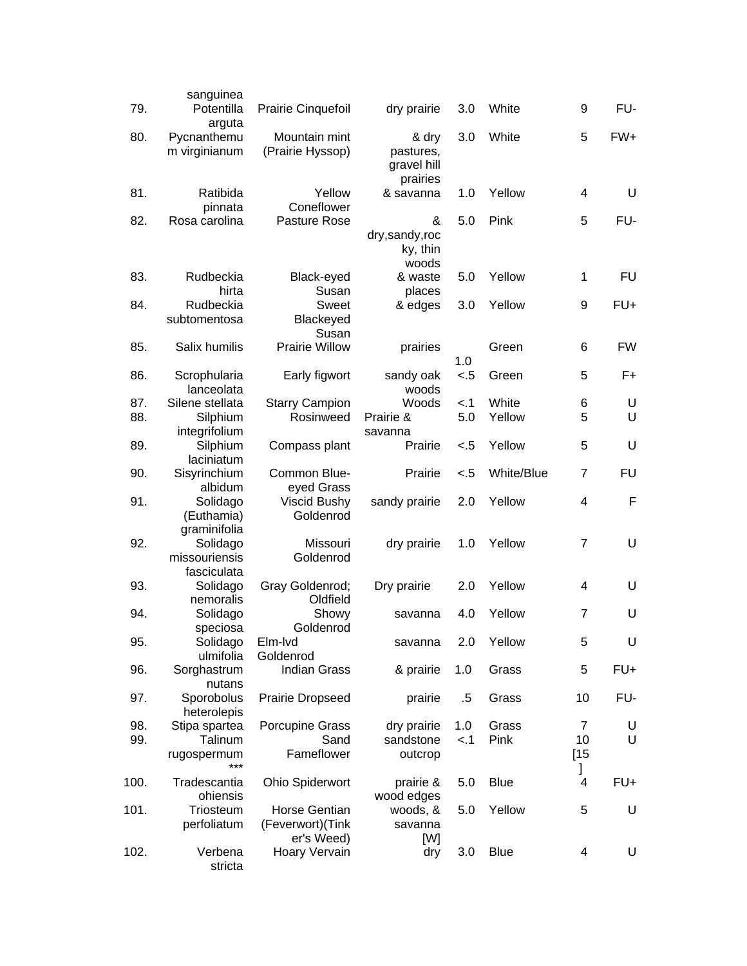| 79.  | sanguinea<br>Potentilla                  | Prairie Cinquefoil                                     | dry prairie                                   | 3.0    | White       | 9              | FU-       |
|------|------------------------------------------|--------------------------------------------------------|-----------------------------------------------|--------|-------------|----------------|-----------|
| 80.  | arguta<br>Pycnanthemu<br>m virginianum   | Mountain mint<br>(Prairie Hyssop)                      | & dry<br>pastures,<br>gravel hill<br>prairies | 3.0    | White       | 5              | $FW+$     |
| 81.  | Ratibida<br>pinnata                      | Yellow<br>Coneflower                                   | & savanna                                     | 1.0    | Yellow      | 4              | U         |
| 82.  | Rosa carolina                            | Pasture Rose                                           | &<br>dry,sandy,roc<br>ky, thin<br>woods       | 5.0    | Pink        | 5              | FU-       |
| 83.  | Rudbeckia<br>hirta                       | Black-eyed<br>Susan                                    | & waste<br>places                             | 5.0    | Yellow      | 1              | <b>FU</b> |
| 84.  | Rudbeckia<br>subtomentosa                | Sweet<br>Blackeyed<br>Susan                            | & edges                                       | 3.0    | Yellow      | 9              | $FU+$     |
| 85.  | Salix humilis                            | <b>Prairie Willow</b>                                  | prairies                                      | 1.0    | Green       | 6              | <b>FW</b> |
| 86.  | Scrophularia<br>lanceolata               | Early figwort                                          | sandy oak<br>woods                            | < 5    | Green       | 5              | F+        |
| 87.  | Silene stellata                          | <b>Starry Campion</b>                                  | Woods                                         | < 1    | White       | 6              | U         |
| 88.  | Silphium<br>integrifolium                | Rosinweed                                              | Prairie &<br>savanna                          | 5.0    | Yellow      | 5              | U         |
| 89.  | Silphium<br>laciniatum                   | Compass plant                                          | Prairie                                       | $-.5$  | Yellow      | 5              | U         |
| 90.  | Sisyrinchium<br>albidum                  | Common Blue-<br>eyed Grass                             | Prairie                                       | $-.5$  | White/Blue  | $\overline{7}$ | <b>FU</b> |
| 91.  | Solidago<br>(Euthamia)<br>graminifolia   | Viscid Bushy<br>Goldenrod                              | sandy prairie                                 | 2.0    | Yellow      | 4              | F         |
| 92.  | Solidago<br>missouriensis<br>fasciculata | Missouri<br>Goldenrod                                  | dry prairie                                   | 1.0    | Yellow      | 7              | U         |
| 93.  | Solidago<br>nemoralis                    | Gray Goldenrod;<br>Oldfield                            | Dry prairie                                   | 2.0    | Yellow      | 4              | U         |
| 94.  | Solidago<br>speciosa                     | Showy<br>Goldenrod                                     | savanna                                       | 4.0    | Yellow      | $\overline{7}$ | U         |
| 95.  | Solidago<br>ulmifolia                    | Elm-lvd<br>Goldenrod                                   | savanna                                       | 2.0    | Yellow      | 5              | U         |
| 96.  | Sorghastrum<br>nutans                    | <b>Indian Grass</b>                                    | & prairie                                     | 1.0    | Grass       | 5              | FU+       |
| 97.  | Sporobolus<br>heterolepis                | <b>Prairie Dropseed</b>                                | prairie                                       | $.5\,$ | Grass       | 10             | FU-       |
| 98.  | Stipa spartea                            | <b>Porcupine Grass</b>                                 | dry prairie                                   | 1.0    | Grass       | 7              | U         |
| 99.  | Talinum                                  | Sand                                                   | sandstone                                     | < 1    | Pink        | 10             | U         |
|      | rugospermum                              | Fameflower                                             | outcrop                                       |        |             | [15]<br>I      |           |
| 100. | Tradescantia<br>ohiensis                 | <b>Ohio Spiderwort</b>                                 | prairie &<br>wood edges                       | 5.0    | <b>Blue</b> | 4              | FU+       |
| 101. | Triosteum<br>perfoliatum                 | <b>Horse Gentian</b><br>(Feverwort)(Tink<br>er's Weed) | woods, &<br>savanna<br>[W]                    | 5.0    | Yellow      | 5              | U         |
| 102. | Verbena<br>stricta                       | Hoary Vervain                                          | dry                                           | 3.0    | <b>Blue</b> | 4              | U         |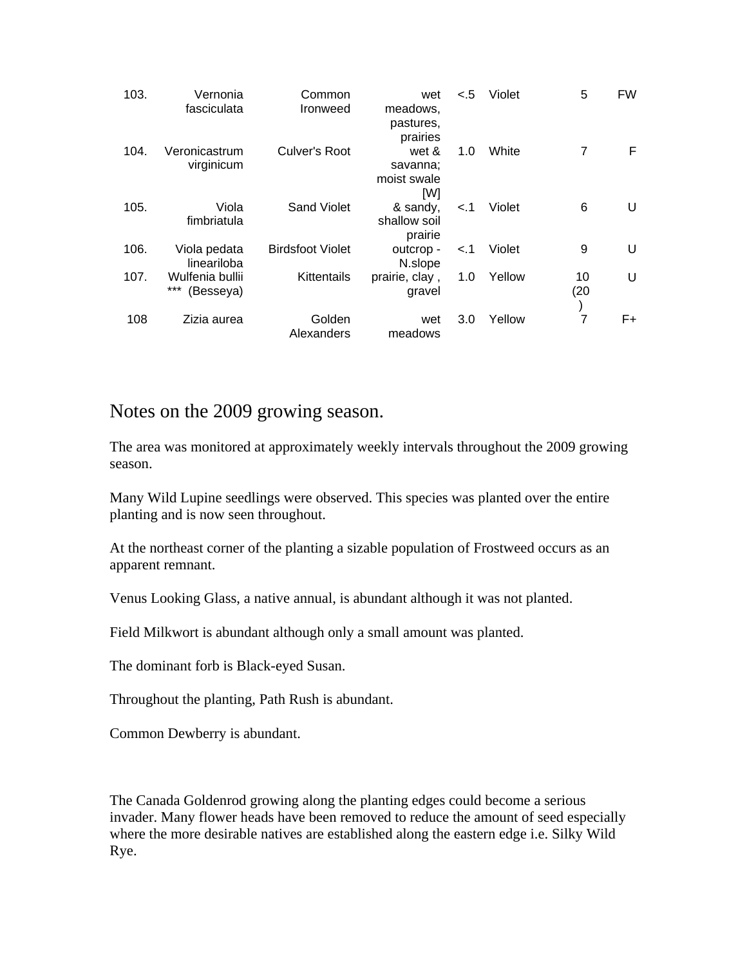| 103. | Vernonia<br>fasciculata             | Common<br>Ironweed      | wet<br>meadows,<br>pastures,<br>prairies | < 5 | Violet | 5          | <b>FW</b> |
|------|-------------------------------------|-------------------------|------------------------------------------|-----|--------|------------|-----------|
| 104. | Veronicastrum<br>virginicum         | Culver's Root           | wet &<br>savanna;<br>moist swale<br>[W]  | 1.0 | White  | 7          | F.        |
| 105. | Viola<br>fimbriatula                | <b>Sand Violet</b>      | & sandy,<br>shallow soil<br>prairie      | < 1 | Violet | 6          | U         |
| 106. | Viola pedata<br>lineariloba         | <b>Birdsfoot Violet</b> | outcrop -<br>N.slope                     | < 1 | Violet | 9          | U         |
| 107. | Wulfenia bullii<br>***<br>(Besseya) | Kittentails             | prairie, clay,<br>gravel                 | 1.0 | Yellow | 10<br>(20) | U         |
| 108  | Zizia aurea                         | Golden<br>Alexanders    | wet<br>meadows                           | 3.0 | Yellow | 7          | F+.       |

### Notes on the 2009 growing season.

The area was monitored at approximately weekly intervals throughout the 2009 growing season.

Many Wild Lupine seedlings were observed. This species was planted over the entire planting and is now seen throughout.

At the northeast corner of the planting a sizable population of Frostweed occurs as an apparent remnant.

Venus Looking Glass, a native annual, is abundant although it was not planted.

Field Milkwort is abundant although only a small amount was planted.

The dominant forb is Black-eyed Susan.

Throughout the planting, Path Rush is abundant.

Common Dewberry is abundant.

The Canada Goldenrod growing along the planting edges could become a serious invader. Many flower heads have been removed to reduce the amount of seed especially where the more desirable natives are established along the eastern edge i.e. Silky Wild Rye.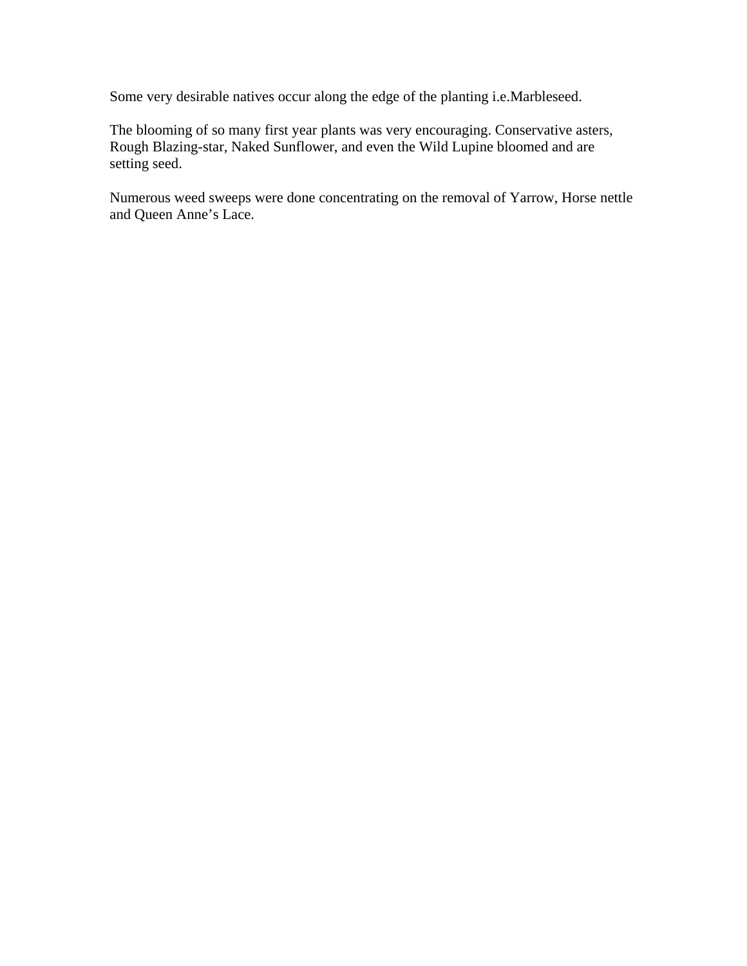Some very desirable natives occur along the edge of the planting i.e.Marbleseed.

The blooming of so many first year plants was very encouraging. Conservative asters, Rough Blazing-star, Naked Sunflower, and even the Wild Lupine bloomed and are setting seed.

Numerous weed sweeps were done concentrating on the removal of Yarrow, Horse nettle and Queen Anne's Lace.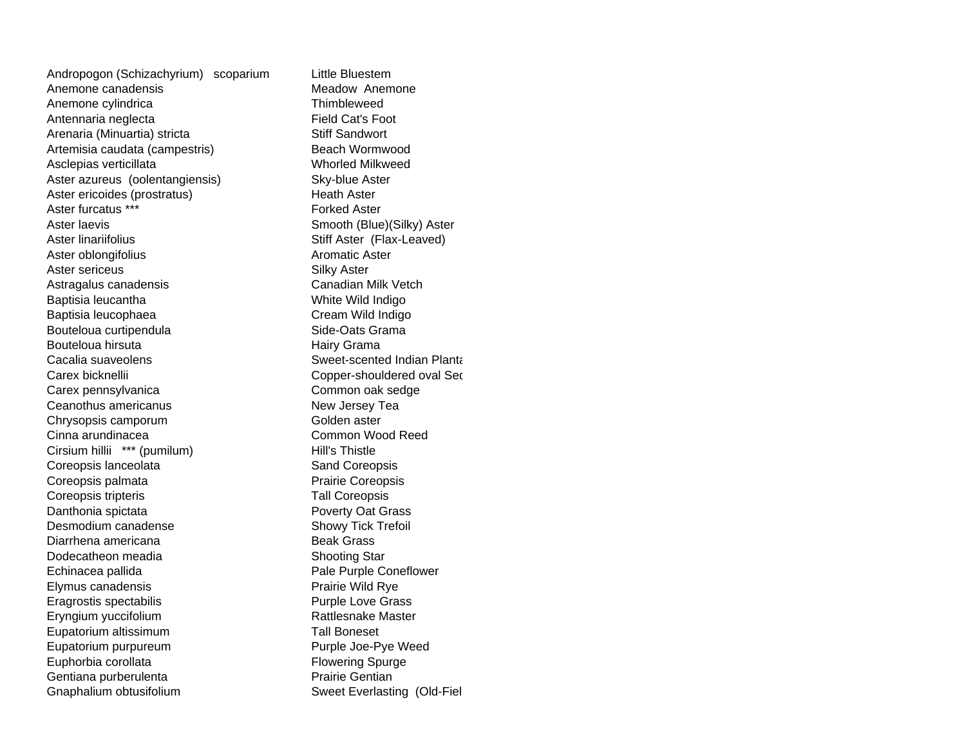Andropogon (Schizachyrium) scoparium Little Bluestem Anemone canadensis and the Meadow Anemone Anemone cylindrica entries and the Thimbleweed Antennaria neglecta Field Cat's Foot Arenaria (Minuartia) stricta Stiff Sandwort Artemisia caudata (campestris) Beach Wormwood Asclepias verticillata Whorled Milkweed Aster azureus (oolentangiensis) Sky-blue Aster Aster ericoides (prostratus) Heath Aster Aster furcatus \*\*\* Forked Aster Aster laevis **Smooth** (Blue)(Silky) Aster Aster linariifolius **Stiff Aster (Flax-Leaved)** Aster oblongifolius **Aromatic Aster** Aster sericeus **Silky Aster** Astragalus canadensis **Canadian Milk Vetch** Baptisia leucantha White Wild Indigo Baptisia leucophaea Cream Wild Indigo Bouteloua curtipendula entry state Side-Oats Grama Bouteloua hirsuta **Hairy Grama** Cacalia suaveolens Sweet-scented Indian PlantaCarex bicknelliiCarex pennsylvanica Common oak sedge Ceanothus americanusChrysopsis camporum Golden aster Cinna arundinaceaCirsium hillii \*\*\* (pumilum) Hill's Thistle Coreopsis lanceolata Sand Coreopsis Coreopsis palmata Prairie Coreopsis Coreopsis tripteris Tall Coreopsis Danthonia spictata **Poverty Oat Grass** Desmodium canadenseDiarrhena americanaDodecatheon meadiaEchinacea pallida **Pale Purple Coneflower** Pale Purple Coneflower Elymus canadensis **Prairie Wild Rye** Eragrostis spectabilis **Example 2018** Purple Love Grass Eryngium yuccifolium **Rattlesnake Master** Rattlesnake Master Eupatorium altissimum **Tall Boneset** Eupatorium purpureum et al. et al. et al. et al. et al. et al. et al. et al. et al. et al. et al. et al. et al Euphorbia corollata **Flowering Spurge** Gentiana purberulenta **Prairie Gentian** Gnaphalium obtusifolium **Sweet Everlasting (Old-Fiel** Sweet Everlasting (Old-Fiel

 Copper-shouldered oval Se d New Jersey Tea Common Wood Reed Showy Tick Trefoil Beak Grass Shooting Star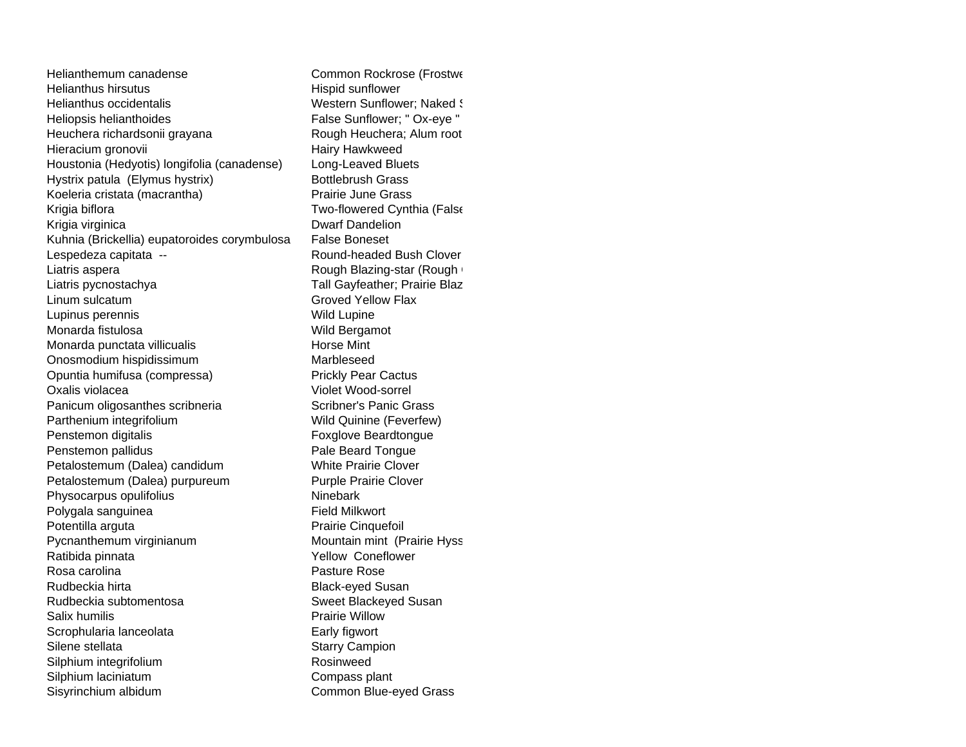Helianthemum canadenseHelianthus hirsutusHelianthus occidentalisHeliopsis helianthoides False Sunflower; " Ox-eye " Heuchera richardsonii grayana Rough Heuchera; Alum root Hieracium gronovii Hairy Hawkweed Houstonia (Hedyotis) longifolia (canadense) Long-Leaved Bluets Hystrix patula (Elymus hystrix) Bottlebrush Grass Koeleria cristata (macrantha) Prairie June Grass Krigia biflora **Two-flowered Cynthia (False** Krigia virginica **Dwarf Dandelion** Kuhnia (Brickellia) eupatoroides corymbulosa False Boneset Lespedeza capitata -- <br>
Round-headed Bush Clover Liatris aspera **Rough Blazing-star (Rough Glazing-star Rough Glazing-star Cough Glazing-Star Cough Glazing-Star Cough Glazing-Star Cough Glazing-Star Cough Glazing-Star Cough Glazing-Star Cough Glazing-Star Cough Glazing-S** Liatris pycnostachya Tall Gayfeather; Prairie Blaz Linum sulcatumLupinus perennis Wild Lupine Monarda fistulosaMonarda punctata villicualis extendio extendio Horse Mint Onosmodium hispidissimum Marbleseed Opuntia humifusa (compressa) Prickly Pear Cactus Oxalis violaceaPanicum oligosanthes scribneria Scribner's Panic Grass Parthenium integrifolium Wild Quinine (Feverfew) Penstemon digitalis Foxglove Beardtongue Penstemon pallidus **Pale Beard Tongue** Petalostemum (Dalea) candidum White Prairie Clover Petalostemum (Dalea) purpureum Purple Prairie Clover Physocarpus opulifolius Ninebark Polygala sanguinea **Field Milkwort** Potentilla arguta **Prairie Cinquefoil** Pycnanthemum virginianum mundum Mountain mint (Prairie Hyss Ratibida pinnata **Xellow Coneflower Properties** Rosa carolina **Pasture Rose** Rudbeckia hirta **Black-eyed Susan** Rudbeckia subtomentosa Sweet Blackeyed Susan Salix humilis **Salix humilis** Prairie Willow Scrophularia lanceolata Early figwort Silene stellata Silene stellata Starry Campion Silphium integrifolium **Rosinweed** Rosinweed Silphium laciniatum Compass plant Sisyrinchium albidum Common Blue-eyed Grass

 Common Rockrose (Frostwe Hispid sunflower Western Sunflower: Naked S Groved Yellow Flax Wild Bergamot Violet Wood-sorrel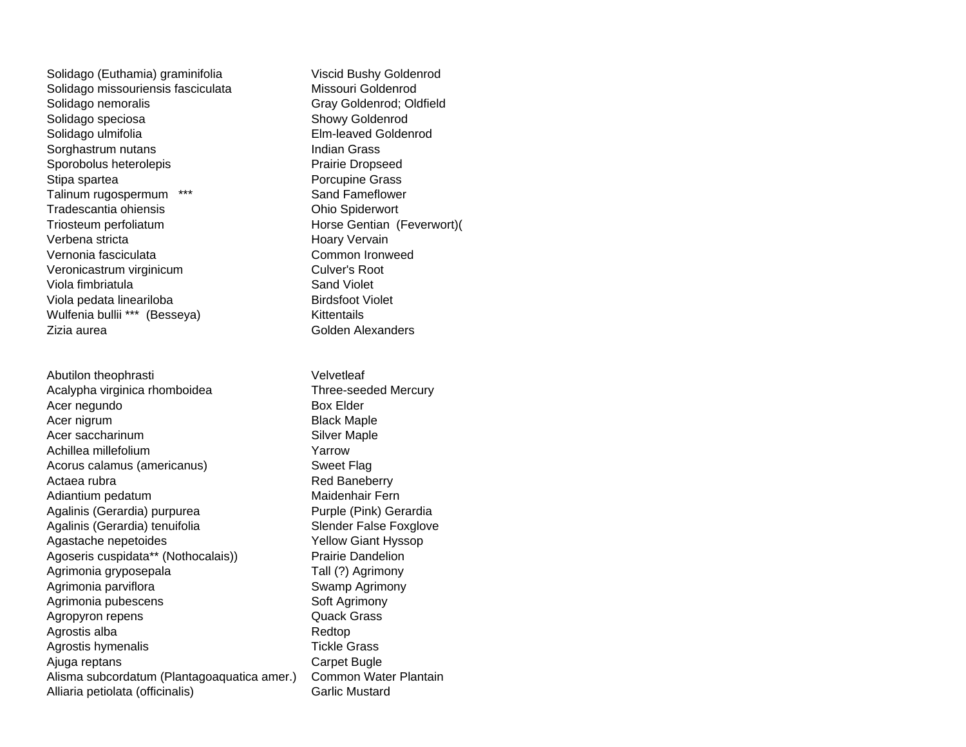Solidago (Euthamia) graminifolia Viscid Bushy Goldenrod Solidago missouriensis fasciculata Missouri Goldenrod Solidago nemoralis Gray Goldenrod; Oldfield Solidago speciosa Showy Goldenrod Solidago ulmifolia Elm-leaved Goldenrod Sorghastrum nutans **Indian Grass** Sporobolus heterolepis **Prairie Dropseed** Stipa spartea **Porcupine Grass** Talinum rugospermum \*\*\* Sand Fameflower Tradescantia ohiensis Ohio Spiderwort Triosteum perfoliatum et al. et al. et al. et al. et al. et al. et al. et al. et al. et al. et al. et al. et a Verbena stricta **Hoary Vervain** Vernonia fasciculata Common IronweedVeronicastrum virginicum Culver's Root Viola fimbriatula **Sand Violet** Sand Violet Viola pedata lineariloba Birdsfoot Violet Wulfenia bullii \*\*\* (Besseya) Kittentails Zizia aurea **Golden Alexanders** 

Abutilon theophrasti **Velvetleaf** Acalypha virginica rhomboidea Three-seeded Mercury Acer negundo Box Elder Acer nigrum and the state of the Black Maple Acer saccharinum and the Silver Maple Achillea millefolium **Yarrow** Acorus calamus (americanus) Sweet Flag Actaea rubra **Red Baneberry** Red Baneberry Adiantium pedatum **Maidenhair Fern** Agalinis (Gerardia) purpurea Purple (Pink) Gerardia Agalinis (Gerardia) tenuifolia Slender False Foxglove Agastache nepetoides **Yellow Giant Hyssop** Agoseris cuspidata\*\* (Nothocalais)) Prairie Dandelion Agrimonia gryposepala Tall (?) Agrimony Agrimonia parviflora **Swamp Agrimony** Swamp Agrimony Agrimonia pubescens Soft Agrimony Agropyron repens **COMPAGE CONTENTS** Quack Grass Agrostis alba **Redtop** Redtop Agrostis hymenalis Tickle Grass Ajuga reptans **Carpet Bugle** Alisma subcordatum (Plantagoaquatica amer.) Common Water Plantain Alliaria petiolata (officinalis) Garlic Mustard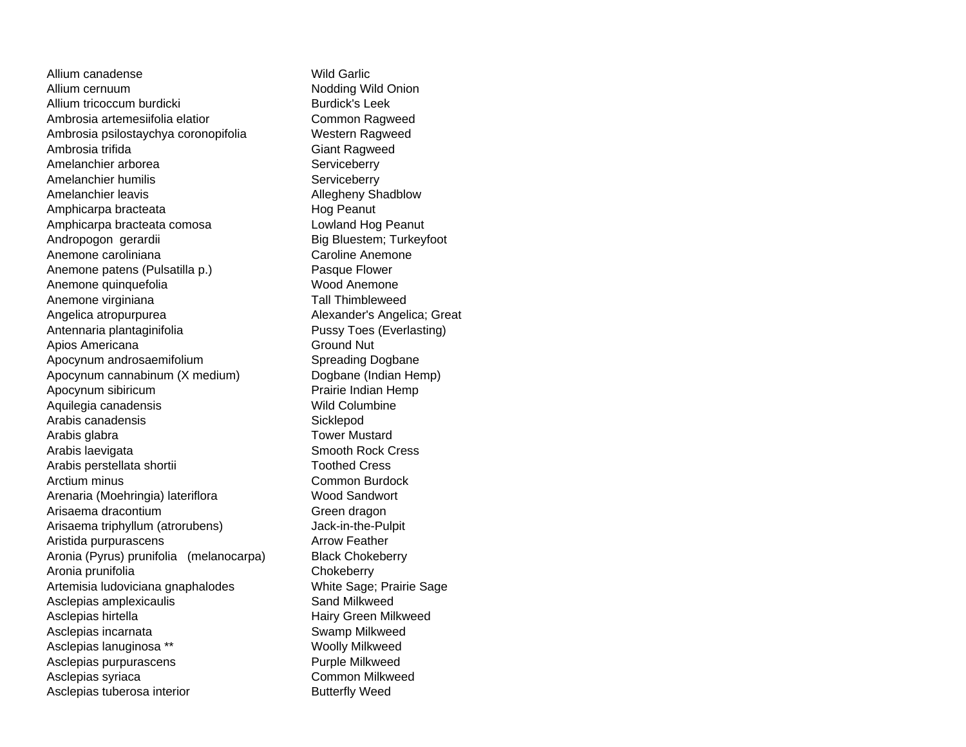Allium canadenseAllium cernuum and a control of the Nodding Wild Onion Allium tricoccum burdicki Burdick's Leek Ambrosia artemesiifolia elatior Common Ragweed Ambrosia psilostaychya coronopifolia Western Ragweed Ambrosia trifida Giant Ragweed Amelanchier arborea Serviceberry Amelanchier humilis Serviceberry Amelanchier leavis **Allegheny Shadblow** Amphicarpa bracteata Hog Peanut Amphicarpa bracteata comosa Lowland Hog Peanut Andropogon gerardii Big Bluestem; Turkeyfoot Anemone caroliniana and a caroline Anemone Anemone patens (Pulsatilla p.) Pasque Flower Anemone quinquefolia Wood Anemone Anemone virginiana Tall Thimbleweed Angelica atropurpurea Alexander's Angelica; Great Antennaria plantaginifolia eta erresuma erresuma Pussy Toes (Everlasting) Apios Americana Ground Nut Apocynum androsaemifolium Spreading Dogbane Apocynum cannabinum (X medium) Dogbane (Indian Hemp) Apocynum sibiricum **Prairie Indian Hemp** Aquilegia canadensis Wild Columbine Arabis canadensis **Sicklepod** Arabis glabra Tower Mustard Arabis laevigata **Smooth Rock Cress** Arabis perstellata shortii and a Toothed Cress Arctium minus **Common Burdock** Arenaria (Moehringia) lateriflora Wood Sandwort Arisaema dracontium Green dragon Arisaema triphyllum (atrorubens) Jack-in-the-Pulpit Aristida purpurascens **Arrow Feather** Aronia (Pyrus) prunifolia (melanocarpa) Black Chokeberry Aronia prunifolia eta aldera eta aldera arte aldera arte aldera arte aldera arte aldera arte aldera arte alder Artemisia ludoviciana gnaphalodes White Sage; Prairie Sage Asclepias amplexicaulis Sand Milkweed Asclepias hirtella **Hairy Green Milkweed** Asclepias incarnata Swamp Milkweed Asclepias lanuginosa \*\* Woolly Milkweed Asclepias purpurascens **Purple Milkweed** Asclepias syriaca **Common Milkweed** Asclepias tuberosa interior **Butterfly Weed** 

Wild Garlic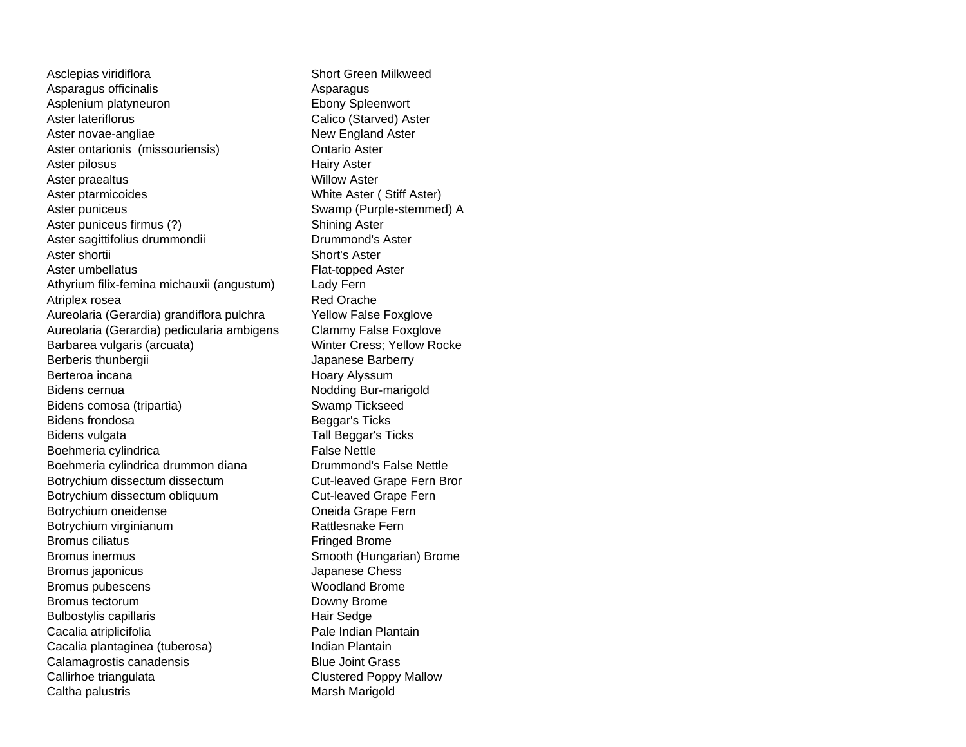Asclepias viridiflora Short Green Milkweed Asparagus officinalis **Asparagus** Asparagus Asplenium platyneuron example and the Ebony Spleenwort Aster lateriflorus **Calico** (Starved) Aster Aster novae-angliae New England Aster Aster ontarionis (missouriensis) **Contario Aster** Aster pilosus **Hairy Aster** Aster praealtus Willow Aster Aster ptarmicoides White Aster (Stiff Aster) Aster puniceus **Swamp (Purple-stemmed)** A Aster puniceus firmus (?) Shining Aster Aster sagittifolius drummondii Drummond's Aster Aster shortii Short's Aster Aster umbellatus **Flat-topped Aster** Athyrium filix-femina michauxii (angustum) Lady Fern Atriplex rosea **Red Orache** Red Orache Aureolaria (Gerardia) grandiflora pulchra Yellow False Foxglove Aureolaria (Gerardia) pedicularia ambigens Clammy False Foxglove Barbarea vulgaris (arcuata) Winter Cress; Yellow Rocket Berberis thunbergii **Access 1986** Japanese Barberry Berteroa incana **Hoary Alyssum** Bidens cernua **Notational Community** Bidens cernua Bidens comosa (tripartia) Swamp Tickseed Bidens frondosa **Beggar's Ticks** Bidens vulgata Tall Beggar's Ticks Boehmeria cylindrica entrante and the False Nettle Boehmeria cylindrica drummon diana Drummond's False Nettle Botrychium dissectum dissectum **Cut-leaved Grape Fern Bron** Botrychium dissectum obliquum Cut-leaved Grape Fern Botrychium oneidense **Oneida Grape Fern** Botrychium virginianum **Rattlesnake Fern** Bromus ciliatusBromus inermusBromus japonicus and the settlement of the state of the Japanese Chess Bromus pubescens Woodland Brome Bromus tectorumBulbostylis capillaris **Hair Sedge** Cacalia atriplicifolia **Pale Indian Plantain** Cacalia plantaginea (tuberosa) **Indian Plantain** Calamagrostis canadensis **Blue Joint Grass** Callirhoe triangulata Clustered Poppy Mallow Caltha palustris **Marsh Marigold** Marsh Marigold

 Fringed Brome Smooth (Hungarian) Brome Downy Brome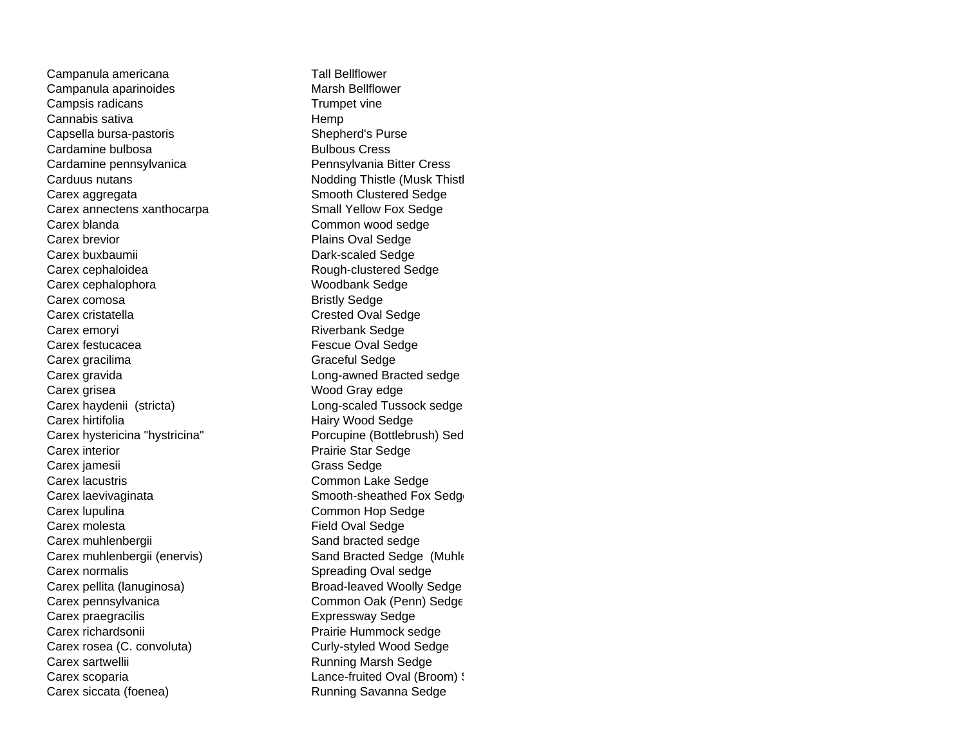Campanula americana Tall Bellflower Campanula aparinoides **Marsh Bellflower** Marsh Bellflower Campsis radicans Trumpet vine Cannabis sativa **Hemp** Capsella bursa-pastoris Shepherd's Purse Cardamine bulbosa Bulbous Cress Cardamine pennsylvanica enter a Pennsylvania Bitter Cress Carduus nutans **Nodding Thistle (Musk Thistle** Carex aggregata Smooth Clustered Sedge Carex annectens xanthocarpa Small Yellow Fox Sedge Carex blandaCarex brevior **Plains Oval Sedge** Carex buxbaumii Dark-scaled Sedge Carex cephaloidea Rough-clustered Sedge Carex cephalophora Woodbank Sedge Carex comosa **Bristly Sedge** Carex cristatella Carex Crested Oval Sedge Carex emoryi **Riverbank** Sedge Carex festucacea **Fescue Oval Sedge** Carex gracilima Graceful Sedge Carex gravida Long-awned Bracted sedge Carex grisea Wood Gray edge Carex haydenii (stricta) Long-scaled Tussock sedge Carex hirtifolia **Carex hirtifolia Hairy Wood Sedge** Carex hystericina "hystricina" Porcupine (Bottlebrush) Sed Carex interior **Prairie Star Sedge** Carex jamesii Grass Sedge Carex lacustris Carex Common Lake Sedge Carex laevivaginata Smooth-sheathed Fox Sedge Carex lupulina Common Hop Sedge Carex molesta **Field Oval Sedge** Carex muhlenbergii Sand bracted sedge Carex muhlenbergii (enervis) Sand Bracted Sedge (Muhle Carex normalisCarex pellita (lanuginosa) Broad-leaved Woolly Sedge Carex pennsylvanica Common Oak (Penn) Sedge Carex praegracilis **Expressway Sedge** Carex richardsonii **Carex richardsonii** Prairie Hummock sedge Carex rosea (C. convoluta) Curly-styled Wood Sedge Carex sartwellii **Carex Sartwellii** Running Marsh Sedge Carex scoparia **Carex** scoparia **Lance-fruited Oval (Broom)** S Carex siccata (foenea) Running Savanna Sedge

 Common wood sedge Spreading Oval sedge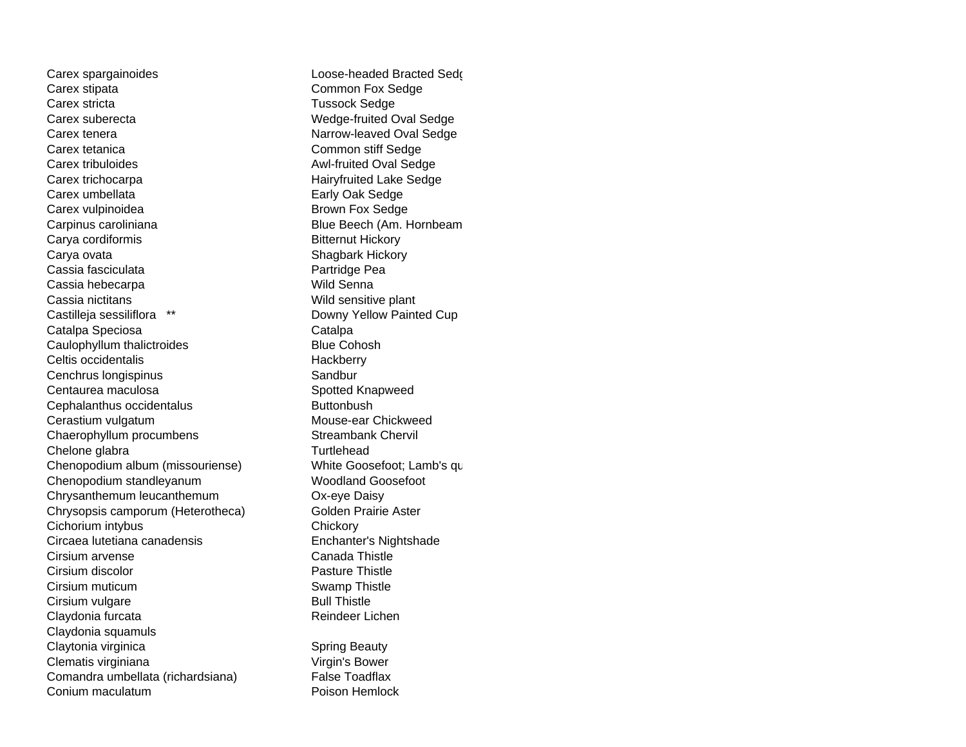Carex spargainoides **Loose-headed Bracted Sedge** Carex stipata Common Fox Sedge Carex stricta **Tussock Sedge** Carex suberecta Wedge-fruited Oval Sedge Carex tenera **Narrow-leaved Oval Sedge** Carex tetanica Common stiff Sedge Carex tribuloides **Awl-fruited Oval Sedge** Carex trichocarpa **Exercise Sedge** Hairyfruited Lake Sedge Carex umbellata Early Oak Sedge Carex vulpinoidea **Brown Fox Sedge** Carpinus caroliniana **Blue Beech** (Am. Hornbeam Carya cordiformis **Bitternut Hickory** Carya ovata **Shagbark Hickory** Shagbark Hickory Cassia fasciculata **Partridge Pea** Cassia hebecarpa **Wild Senna** Cassia nictitans<br>
Castilleja sessiliflora \*\* The Castille of the Downy Yellow Paint Catalpa Speciosa **Catalpa** Catalpa Caulophyllum thalictroides **Blue Cohosh** Celtis occidentalis extending the Hackberry Cenchrus longispinus Sandbur Centaurea maculosa **Spotted Knapweed** Cephalanthus occidentalus **Buttonbush** Cerastium vulgatum **Mouse-ear Chickweed** Chaerophyllum procumbens Streambank Chervil Chelone glabra and the control of the Turtlehead Chenopodium album (missouriense) White Goosefoot; Lamb's qu Chenopodium standleyanum Woodland Goosefoot Chrysanthemum leucanthemum Ox-eye Daisy Chrysopsis camporum (Heterotheca) Golden Prairie Aster Cichorium intybus Chickory Circaea lutetiana canadensis Enchanter's Nightshade Cirsium arvense Cirsium arvense Cirsium discolor **Pasture Thistle** Cirsium muticum **Swamp Thistle** Cirsium vulgare Bull Thistle Claydonia furcata **Reindeer Lichen** Reindeer Lichen Claydonia squamuls Claytonia virginica **Spring Beauty** Spring Beauty Clematis virginiana Virgin's Bower Comandra umbellata (richardsiana) False Toadflax Conium maculatum **Conium maculatum** Poison Hemlock

Downy Yellow Painted Cup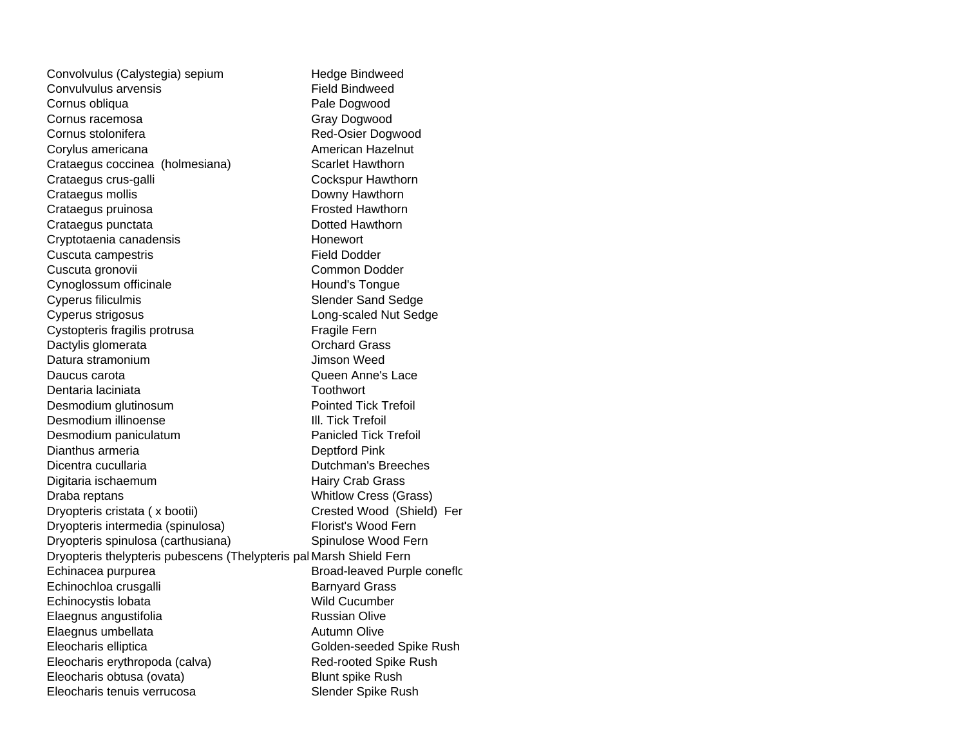Convolvulus (Calystegia) sepium Hedge Bindweed Convulvulus arvensis Field BindweedCornus obliqua **Pale Dogwood** Cornus racemosa Gray Dogwood Cornus stolonifera Red-Osier Dogwood Corylus americana **American** American Hazelnut Crataegus coccinea (holmesiana) Scarlet Hawthorn Crataegus crus-galli Crataegus crus-galli Crataegus mollis **Downy Hawthorn** Crataegus pruinosa **Frosted Hawthorn** Crataegus punctata Dotted Hawthorn Cryptotaenia canadensis extending the Honewort Cuscuta campestris **Field Dodder** Cuscuta gronovii Common Dodder Cynoglossum officinale Hound's Tongue Cyperus filiculmis Cyperus filiculmis Cyperus strigosus Long-scaled Nut Sedge Cystopteris fragilis protrusa Fragile Fern Dactylis glomerata **Dactylis Community** Dechard Grass Datura stramonium Jimson Weed Daucus carota Queen Anne's Lace Dentaria laciniata**Toothwort** Desmodium glutinosum **Pointed Tick Trefoil** Desmodium illinoense Ill. Tick Trefoil Desmodium paniculatum **Paniculatum** Panicled Tick Trefoil Dianthus armeria Deptford Pink Dicentra cucullaria Dutchman's Breeches Digitaria ischaemum **Hairy Crab Grass** Draba reptans Notifiants Cress (Grass) Dryopteris cristata ( x bootii) Crested Wood (Shield) Fer Dryopteris intermedia (spinulosa) Florist's Wood Fern Dryopteris spinulosa (carthusiana) Spinulose Wood Fern Dryopteris thelypteris pubescens (Thelypteris pal Marsh Shield Fern Echinacea purpurea **Broad-leaved Purple conefic** Echinochloa crusgalli Barnyard Grass Echinocystis lobata Wild Cucumber Elaegnus angustifolia **Russian Olive** Russian Olive Elaegnus umbellata Autumn Olive Eleocharis elliptica Golden-seeded Spike Rush Eleocharis erythropoda (calva) Red-rooted Spike Rush Eleocharis obtusa (ovata) Blunt spike Rush Eleocharis tenuis verrucosa Slender Spike Rush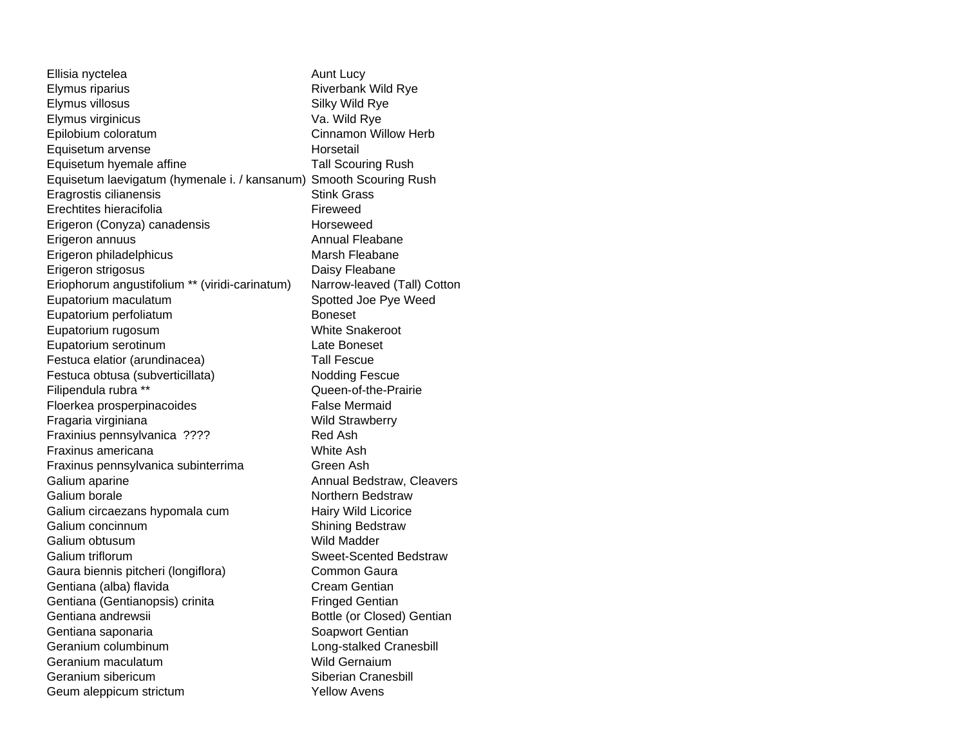| Ellisia nyctelea                                                   | Aunt Lucy                     |
|--------------------------------------------------------------------|-------------------------------|
| Elymus riparius                                                    | <b>Riverbank Wild Rye</b>     |
| Elymus villosus                                                    | Silky Wild Rye                |
| Elymus virginicus                                                  | Va. Wild Rye                  |
| Epilobium coloratum                                                | <b>Cinnamon Willow Herb</b>   |
| Equisetum arvense                                                  | Horsetail                     |
| Equisetum hyemale affine                                           | <b>Tall Scouring Rush</b>     |
| Equisetum laevigatum (hymenale i. / kansanum) Smooth Scouring Rush |                               |
| Eragrostis cilianensis                                             | <b>Stink Grass</b>            |
| Erechtites hieracifolia                                            | Fireweed                      |
| Erigeron (Conyza) canadensis                                       | Horseweed                     |
| Erigeron annuus                                                    | Annual Fleabane               |
| Erigeron philadelphicus                                            | Marsh Fleabane                |
| Erigeron strigosus                                                 | Daisy Fleabane                |
| Eriophorum angustifolium ** (viridi-carinatum)                     | Narrow-leaved (Tall) Cotton   |
| Eupatorium maculatum                                               | Spotted Joe Pye Weed          |
| Eupatorium perfoliatum                                             | <b>Boneset</b>                |
| Eupatorium rugosum                                                 | <b>White Snakeroot</b>        |
| Eupatorium serotinum                                               | Late Boneset                  |
| Festuca elatior (arundinacea)                                      | Tall Fescue                   |
| Festuca obtusa (subverticillata)                                   | <b>Nodding Fescue</b>         |
| Filipendula rubra **                                               | Queen-of-the-Prairie          |
| Floerkea prosperpinacoides                                         | <b>False Mermaid</b>          |
| Fragaria virginiana                                                | <b>Wild Strawberry</b>        |
| Fraxinius pennsylvanica ????                                       | Red Ash                       |
| Fraxinus americana                                                 | White Ash                     |
| Fraxinus pennsylvanica subinterrima                                | Green Ash                     |
| Galium aparine                                                     | Annual Bedstraw, Cleavers     |
| Galium borale                                                      | Northern Bedstraw             |
| Galium circaezans hypomala cum                                     | Hairy Wild Licorice           |
| Galium concinnum                                                   | <b>Shining Bedstraw</b>       |
| Galium obtusum                                                     | Wild Madder                   |
| Galium triflorum                                                   | <b>Sweet-Scented Bedstraw</b> |
| Gaura biennis pitcheri (longiflora)                                | Common Gaura                  |
| Gentiana (alba) flavida                                            | Cream Gentian                 |
| Gentiana (Gentianopsis) crinita                                    | <b>Fringed Gentian</b>        |
| Gentiana andrewsii                                                 | Bottle (or Closed) Gentian    |
| Gentiana saponaria                                                 | Soapwort Gentian              |
| Geranium columbinum                                                | Long-stalked Cranesbill       |
| Geranium maculatum                                                 | Wild Gernaium                 |
| Geranium sibericum                                                 | Siberian Cranesbill           |
| Geum aleppicum strictum                                            | <b>Yellow Avens</b>           |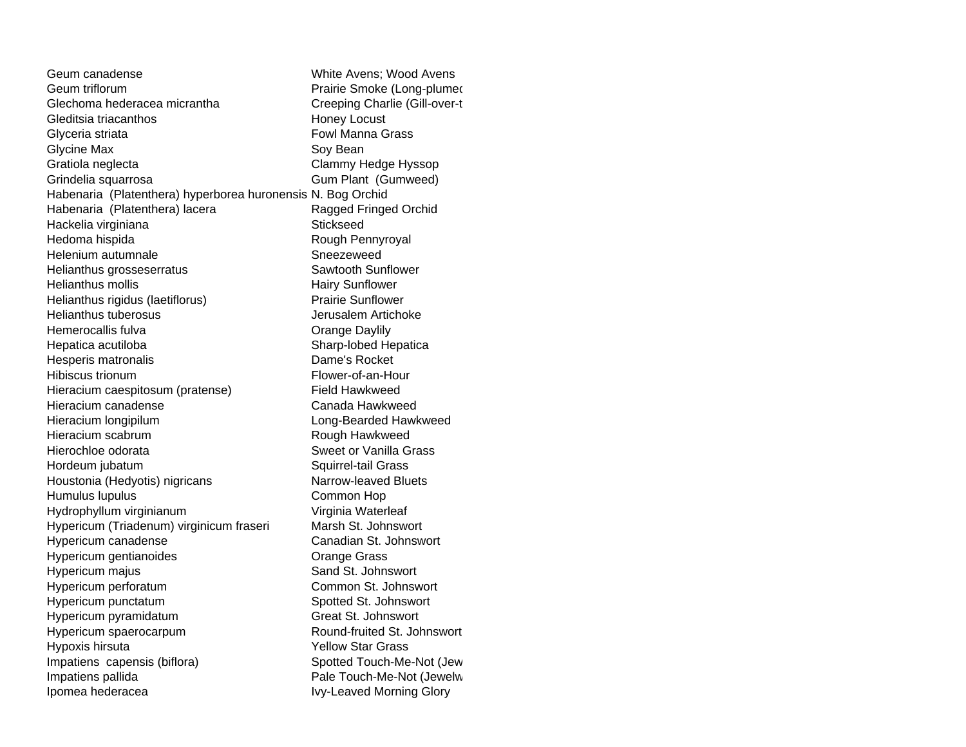| Geum canadense                                              | White Avens; Wood Avens         |
|-------------------------------------------------------------|---------------------------------|
| Geum triflorum                                              | Prairie Smoke (Long-plumed      |
| Glechoma hederacea micrantha                                | Creeping Charlie (Gill-over-t   |
| Gleditsia triacanthos                                       | <b>Honey Locust</b>             |
| Glyceria striata                                            | <b>Fowl Manna Grass</b>         |
| <b>Glycine Max</b>                                          | Soy Bean                        |
| Gratiola neglecta                                           | Clammy Hedge Hyssop             |
| Grindelia squarrosa                                         | Gum Plant (Gumweed)             |
| Habenaria (Platenthera) hyperborea huronensis N. Bog Orchid |                                 |
| Habenaria (Platenthera) lacera                              | Ragged Fringed Orchid           |
| Hackelia virginiana                                         | Stickseed                       |
| Hedoma hispida                                              | Rough Pennyroyal                |
| Helenium autumnale                                          | Sneezeweed                      |
| Helianthus grosseserratus                                   | Sawtooth Sunflower              |
| Helianthus mollis                                           | <b>Hairy Sunflower</b>          |
| Helianthus rigidus (laetiflorus)                            | <b>Prairie Sunflower</b>        |
| <b>Helianthus tuberosus</b>                                 | Jerusalem Artichoke             |
| Hemerocallis fulva                                          | Orange Daylily                  |
| Hepatica acutiloba                                          | Sharp-lobed Hepatica            |
| Hesperis matronalis                                         | Dame's Rocket                   |
| Hibiscus trionum                                            | Flower-of-an-Hour               |
| Hieracium caespitosum (pratense)                            | <b>Field Hawkweed</b>           |
| Hieracium canadense                                         | Canada Hawkweed                 |
| Hieracium longipilum                                        | Long-Bearded Hawkweed           |
| Hieracium scabrum                                           | Rough Hawkweed                  |
| Hierochloe odorata                                          | Sweet or Vanilla Grass          |
| Hordeum jubatum                                             | Squirrel-tail Grass             |
| Houstonia (Hedyotis) nigricans                              | Narrow-leaved Bluets            |
| Humulus lupulus                                             | Common Hop                      |
| Hydrophyllum virginianum                                    | Virginia Waterleaf              |
| Hypericum (Triadenum) virginicum fraseri                    | Marsh St. Johnswort             |
| Hypericum canadense                                         | Canadian St. Johnswort          |
| Hypericum gentianoides                                      | <b>Orange Grass</b>             |
| Hypericum majus                                             | Sand St. Johnswort              |
| Hypericum perforatum                                        | Common St. Johnswort            |
| Hypericum punctatum                                         | Spotted St. Johnswort           |
| Hypericum pyramidatum                                       | Great St. Johnswort             |
| Hypericum spaerocarpum                                      | Round-fruited St. Johnswort     |
| Hypoxis hirsuta                                             | <b>Yellow Star Grass</b>        |
| Impatiens capensis (biflora)                                | Spotted Touch-Me-Not (Jew       |
| Impatiens pallida                                           | Pale Touch-Me-Not (Jewelw       |
| Ipomea hederacea                                            | <b>Ivy-Leaved Morning Glory</b> |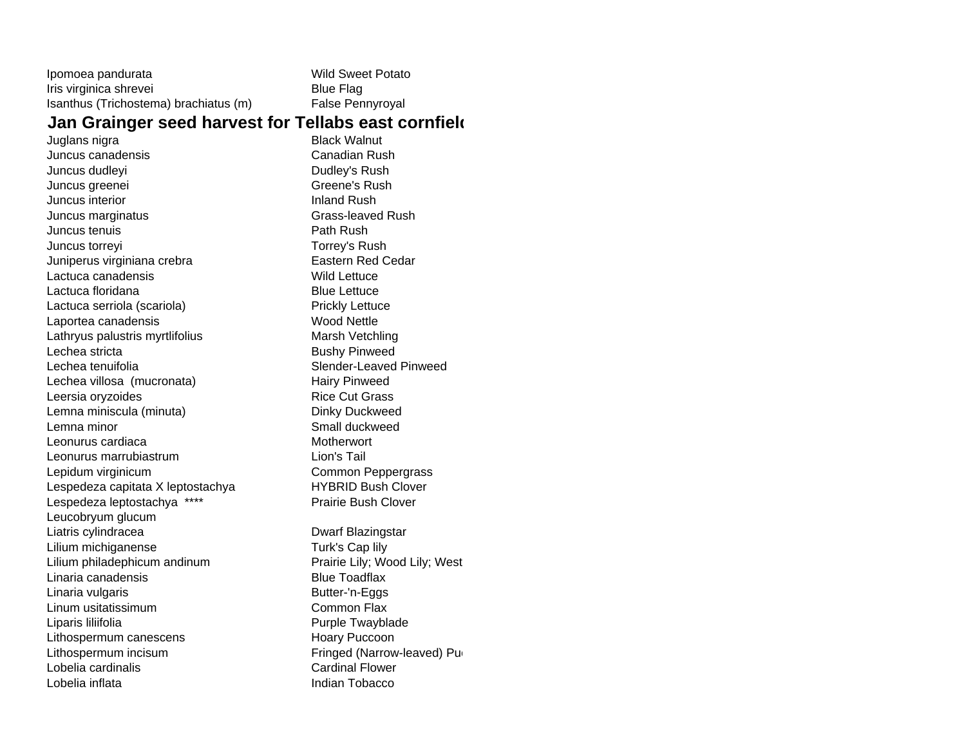| Ipomoea pandurata                     | <b>Wild Sweet Potato</b> |
|---------------------------------------|--------------------------|
| Iris virginica shrevei                | Blue Flag                |
| Isanthus (Trichostema) brachiatus (m) | <b>False Pennyroval</b>  |

### **Jan Grainger seed harvest for Tellabs east cornfield**

Juglans nigra **Black Walnut** Juncus canadensisJuncus dudleyi **Dudley's Rush** Juncus greenei Greene's Rush Juncus interior **Inland Rush** Inland Rush Juncus marginatus **Grass-leaved Rush** Juncus tenuis **Path Rush** Path Rush Juncus torreyi **Torrey's Rush** Juniperus virginiana crebra **Eastern Red Cedar** Lactuca canadensis New York 1980 and Wild Lettuce Lactuca floridana **Blue Lettuce** Blue Lettuce Lactuca serriola (scariola) Prickly Lettuce Laportea canadensis Wood Nettle Lathryus palustris myrtlifolius Marsh Vetchling Lechea stricta **Bushy Pinweed** Lechea tenuifolia Slender-Leaved PinweedLechea villosa (mucronata) eta estabelarra hairy Pinweed Leersia oryzoides **Rice Cut Grass** Lemna miniscula (minuta) Dinky Duckweed Lemna minor Contract Contract Contract Contract Contract Contract Contract Contract Contract Contract Contract Contract Contract Contract Contract Contract Contract Contract Contract Contract Contract Contract Contract Con Leonurus cardiaca Motherwort Leonurus marrubiastrum Lion's TailLepidum virginicum **Common Peppergrass** Lespedeza capitata X leptostachya **HYBRID Bush Clover** Lespedeza leptostachya \*\*\*\* Prairie Bush Clover Leucobryum glucum Liatris cylindracea **Dwarf Blazingstar** Lilium michiganense Turk's Cap lily Lilium philadephicum andinum example and prairie Lily; Wood Lily; West Linaria canadensisLinaria vulgaris **Butter-'n-Eggs** Linum usitatissimumLiparis liliifolia eta erresuma eta alderriko arresta eta alderriko arresta eta alderriko arrantzatu zuten zu Lithospermum canescens Hoary Puccoon Lithospermum incisum **Fringed** (Narrow-leaved) Puckers Lobelia cardinalisLobelia inflata Indian Tobacco

 Canadian Rush Blue Toadflax Common Flax Cardinal Flower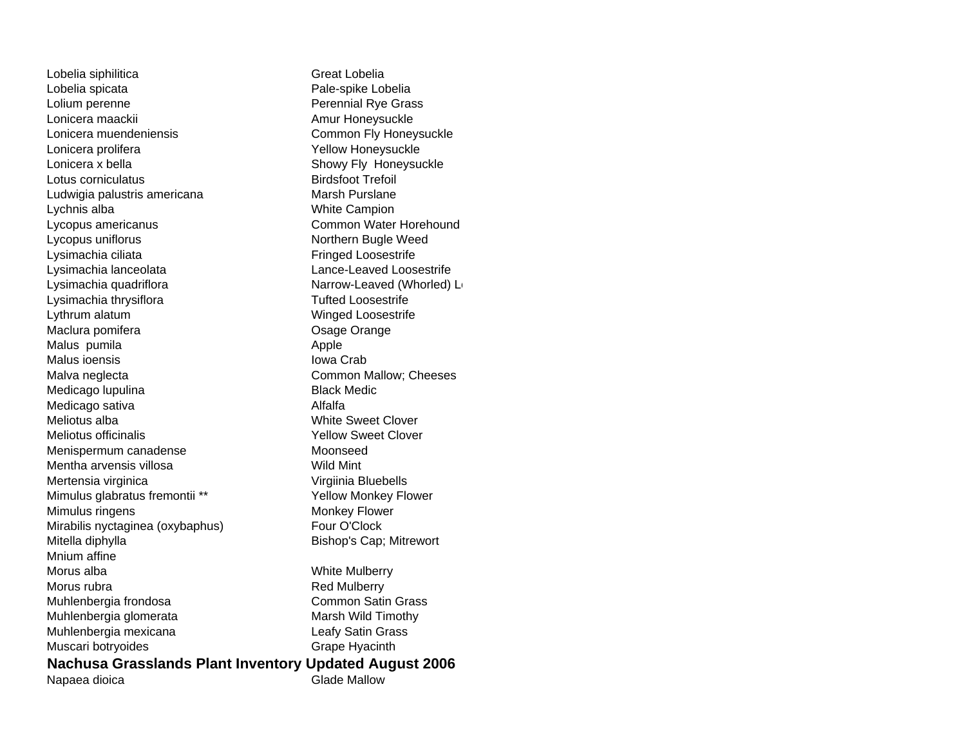Lobelia siphilitica **Great Lobelia** Lobelia spicata **Pale-spike Lobelia** Lolium perenne **Perennial Rye Grass** Lonicera maackii amur Honeysuckle Amur Honeysuckle Lonicera muendeniensis Common Fly Honeysuckle Lonicera prolifera Xellow Honeysuckle Lonicera x bella Showy Fly Honeysuckle Lotus corniculatus **Birdsfoot Trefoil** Ludwigia palustris americana Marsh Purslane Lychnis alba **White Campion** Lycopus americanus Common Water Horehound Lycopus uniflorus Northern Bugle Weed Lysimachia ciliata **Fringed** Loosestrife Lysimachia lanceolata Lance-Leaved Loosestrife Lysimachia quadriflora Narrow-Leaved (Whorled) Losimachia quadriflora Lysimachia thrysiflora Tufted Loosestrife Lythrum alatum Winged Loosestrife Maclura pomifera **Maclura pomifera Maclura pomifera Osage Orange** Malus pumila **Apple** Apple Malus ioensisMalva neglecta **Common Mallow**; Cheeses Medicago lupulina Black Medic Medicago sativa **Alfalfa** Meliotus albaMeliotus officinalisMenispermum canadense Moonseed Mentha arvensis villosaMertensia virginica viene version virginia Bluebells Mimulus glabratus fremontii \*\* <br>
Yellow Monkey Flower Mimulus ringens Monkey Flower Mirabilis nyctaginea (oxybaphus) Four O'Clock Mitella diphylla **Bishop's Cap**; Mitrewort Mnium affineMorus albaMorus rubraMuhlenbergia frondosa Common Satin Grass Muhlenbergia glomerata Marsh Wild Timothy Muhlenbergia mexicana **Leafy Satin Grass** Muscari botryoides Grape Hyacinth

 Iowa Crab White Sweet Clover Yellow Sweet Clover Wild Mint White Mulberry Red Mulberry

#### **Nachusa Grasslands Plant Inventory Updated August 2006** Napaea dioica **Glade Mallow**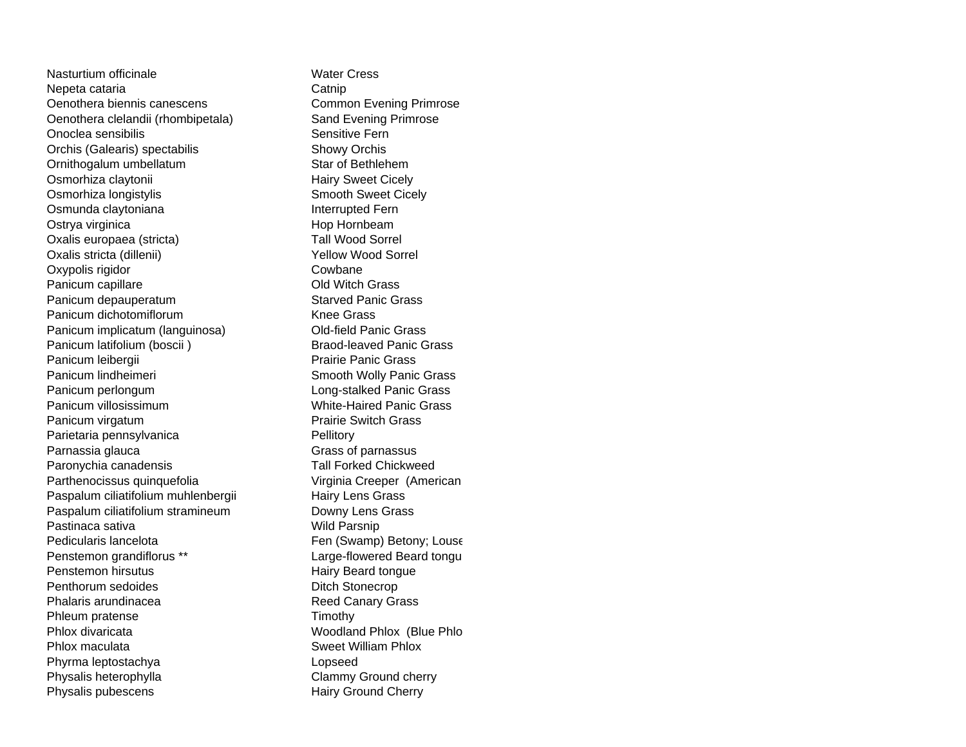Nasturtium officinaleNepeta cataria **Catallel Catnip** Catnip Oenothera biennis canescens Common Evening Primrose Oenothera clelandii (rhombipetala) Sand Evening Primrose Onoclea sensibilis **Sensitive Fern** Sensitive Fern Orchis (Galearis) spectabilis Showy Orchis Ornithogalum umbellatum Star of Bethlehem Osmorhiza claytonii **Hairy Sweet Cicely** Osmorhiza longistylis Smooth Sweet Cicely Osmunda claytoniana **Interrupted Fern** Ostrya virginica **Hop Hornbeam** Oxalis europaea (stricta) Tall Wood Sorrel Oxalis stricta (dillenii) Vellow Wood Sorrel Oxypolis rigidor Cowbane Panicum capillare **Panicum** capillare **Panicum** COLD Old Witch Grass Panicum depauperatum **Starved Panic Grass** Panicum dichotomiflorum Channel Channel Knee Grass Panicum implicatum (languinosa) Old-field Panic Grass Panicum latifolium (boscii ) Braod-leaved Panic Grass Panicum leibergii **Prairie Panic Grass** Panicum lindheimeri Smooth Wolly Panic Grass Panicum perlongum Long-stalked Panic Grass Panicum villosissimum White-Haired Panic GrassPanicum virgatum **Prairie Switch Grass** Parietaria pennsylvanica entrantitivity entrantitivity Parnassia glauca Grass of parnassus Paronychia canadensis Tall Forked Chickweed Parthenocissus quinquefolia Virginia Creeper (American Paspalum ciliatifolium muhlenbergii Hairy Lens Grass Paspalum ciliatifolium stramineum Downy Lens Grass Pastinaca sativa **Wild Parsnip** Pedicularis lancelota Fen (Swamp) Betony; Louse Penstemon grandiflorus \*\* <br>
Large-flowered Beard tongu Penstemon hirsutusPenthorum sedoidesPhalaris arundinaceaPhleum pratense Timothy Phlox divaricataPhlox maculataPhyrma leptostachya Lopseed Physalis heterophylla Clammy Ground cherry Physalis pubescens Hairy Ground Cherry

 Water Cress Hairy Beard tongue Ditch Stonecrop Reed Canary Grass Woodland Phlox (Blue Phlo Sweet William Phlox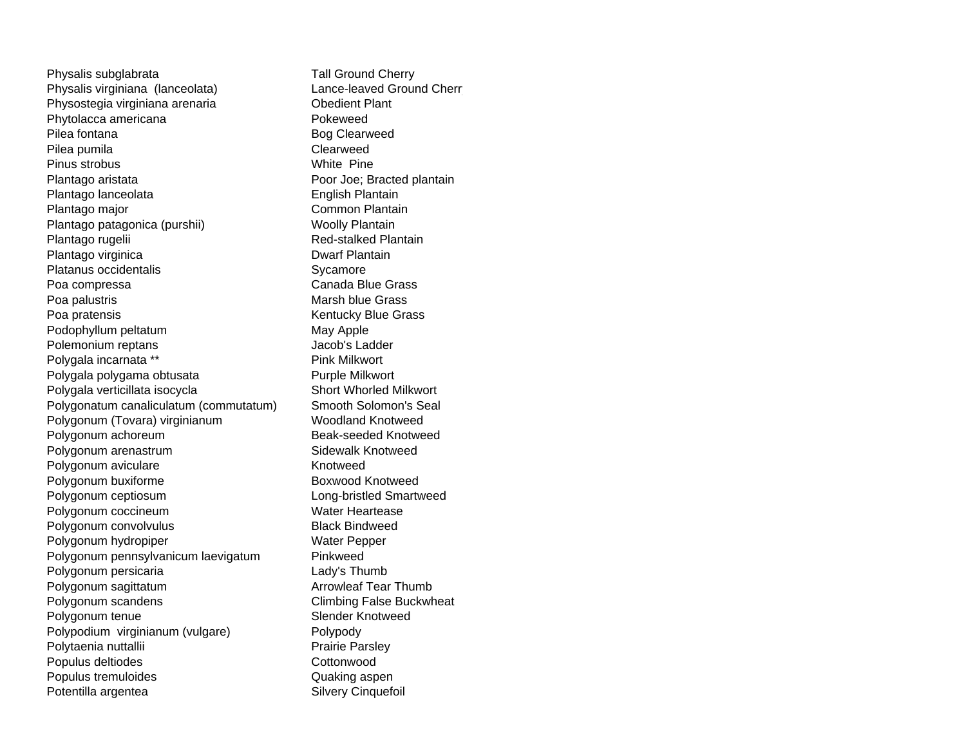Physalis subglabrata Tall Ground Cherry Physalis virginiana (lanceolata) Lance-leaved Ground Cherr Physostegia virginiana arenaria **Channel Prince Channel Plant** Phytolacca americana **Pokeweed** Pilea fontanaPilea pumila **Clearweed** Pinus strobusPlantago aristata **Poor Joe**; Bracted plantain Plantago lanceolata English Plantain Plantago major **Common Plantain** Plantago patagonica (purshii) Woolly Plantain Plantago rugelii **Red-stalked Plantain** Plantago virginica **Dwarf Plantain** Platanus occidentalisPoa compressa Canada Blue Grass Poa palustris **Marsh blue Grass** Poa pratensis **Kentucky Blue Grass** Podophyllum peltatum May Apple Polemonium reptans and a computer of the United States of the United States of the United States of the United Polygala incarnata \*\* Pink Milkwort Polygala polygama obtusata Purple Milkwort Polygala verticillata isocycla Short Whorled Milkwort Polygonatum canaliculatum (commutatum) Smooth Solomon's Seal Polygonum (Tovara) virginianum Woodland Knotweed Polygonum achoreum **Beak-seeded Knotweed** Polygonum arenastrum **Sidewalk Knotweed** Polygonum aviculare **Knotweed** Polygonum buxiforme Boxwood Knotweed Polygonum ceptiosum **Long-bristled** Smartweed Polygonum coccineum Water Heartease Polygonum convolvulus Black Bindweed Polygonum hydropiper Water Pepper Polygonum pennsylvanicum laevigatum Pinkweed Polygonum persicaria **Lady's Thumb** Polygonum sagittatum **Arrowleaf Tear Thumb** Polygonum scandens Climbing False Buckwheat Polygonum tenue Slender Knotweed Polypodium virginianum (vulgare) Polypody Polytaenia nuttallii eta alianeen eta arrantzartea eta arratzen eta arratzen artean eta arratzen eta arratzen a Populus deltiodes **Cottonwood** Populus tremuloides **Contains a Container Container Container** Quaking aspen Potentilla argentea Silvery Cinquefoil

 Bog Clearweed White PineSycamore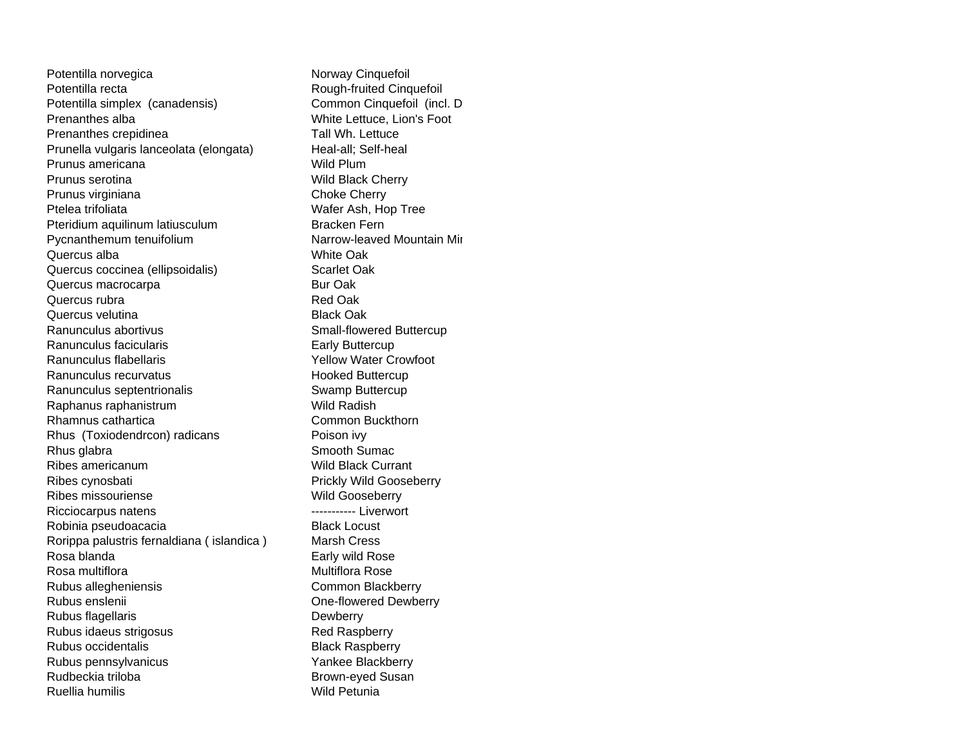Potentilla norvegica Norway Cinquefoil Potentilla recta **Rough-fruited Cinquefoil** Potentilla simplex (canadensis) Common Cinquefoil (incl. D Prenanthes alba White Lettuce, Lion's Foot Prenanthes crepidinea Tall Wh. Lettuce Prunella vulgaris lanceolata (elongata) Heal-all; Self-heal Prunus americana **Wild Plum** Prunus serotina Wild Black Cherry Prunus virginiana Choke Cherry Ptelea trifoliata Wafer Ash, Hop Tree Pteridium aquilinum latiusculum Bracken Fern Pycnanthemum tenuifolium Narrow-leaved Mountain Mir Quercus albaQuercus coccinea (ellipsoidalis) Scarlet Oak Quercus macrocarpa **Bur Oak** Quercus rubraQuercus velutinaRanunculus abortivusRanunculus facicularisRanunculus flabellarisRanunculus recurvatusRanunculus septentrionalis Swamp Buttercup Raphanus raphanistrum Wild Radish Rhamnus catharticaRhus (Toxiodendrcon) radicans Poison ivy Rhus glabra Smooth Sumach Smooth Sumach Smooth Sumach Smooth Sumach Smooth Sumach Sumach Sumach Sumach Sumach Sumach Sumach Sumach Sumach Sumach Sumach Sumach Sumach Sumach Sumach Sumach Sumach Sumach Sumach Sumach Sumach Ribes americanumRibes cynosbati **Prickly Wild Gooseberry** Prickly Wild Gooseberry Ribes missourienseRicciocarpus natens **Acceleration** ------------ Liverwort Robinia pseudoacacia **Black Locust** Black Locust Rorippa palustris fernaldiana ( islandica ) Marsh Cress Rosa blandaRosa multifloraRubus allegheniensis Common Blackberry Rubus ensleniiRubus flagellaris **Dewberry** Rubus idaeus strigosus **Red Raspberry** Red Raspberry Rubus occidentalisRubus pennsylvanicus Vankee Blackberry Rudbeckia trilobaRuellia humilis

 White Oak Red Oak Black Oak Small-flowered Buttercup Early Buttercup Yellow Water Crowfoot Hooked Buttercup Common Buckthorn Wild Black Currant Wild Gooseberry Early wild Rose Multiflora Rose One-flowered Dewberry Black Raspberry Brown-eyed Susan Wild Petunia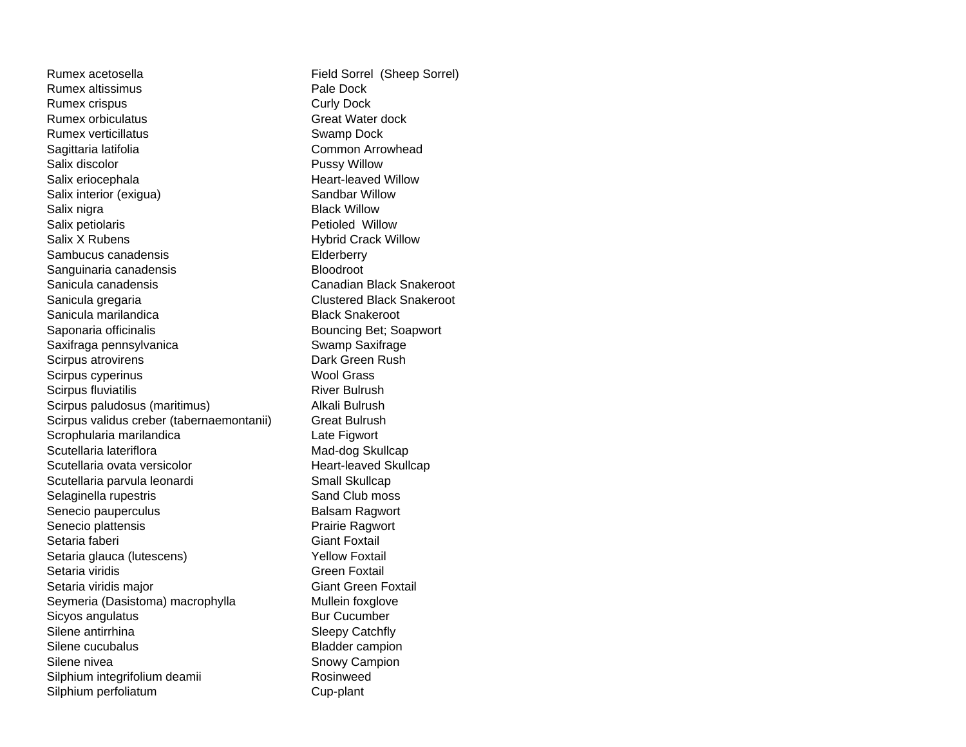Rumex acetosellaRumex altissimusRumex crispus **Curly Dock** Rumex orbiculatusRumex verticillatusSagittaria latifolia **Common Arrowhead** Salix discolorSalix eriocephala Heart-leaved Willow Salix interior (exigua) Sandbar Willow Salix nigra **Black Willow** Salix petiolaris **Petiolaris** Petioled Willow Salix X RubensSambucus canadensisSanguinaria canadensis **Bloodroot** Sanicula canadensisSanicula gregaria Clustered Black Snakeroot Sanicula marilandicaSaponaria officinalis and a set of the Bouncing Bet; Soapwort Saxifraga pennsylvanica Swamp Saxifrage Scirpus atrovirens **Dark Green Rush** Scirpus cyperinus Wool Grass Scirpus fluviatilis **River Bulrush** River Bulrush Scirpus paludosus (maritimus) Maria Bulrush Scirpus validus creber (tabernaemontanii) Great Bulrush Scrophularia marilandica Late Figwort Scutellaria laterifloraScutellaria ovata versicolorScutellaria parvula leonardi Small Skullcap Selaginella rupestris Selaginella rupestris Sand Club moss Senecio pauperculus **Balsam Ragwort** Senecio plattensis **Prairie Ragwort** Setaria faberiSetaria glauca (lutescens) The Setaria Setaria Setaria Setaria Setaria Setaria Setaria Setaria Setaria Setari Setaria viridisSetaria viridis major Giant Green Foxtail Seymeria (Dasistoma) macrophylla Mullein foxglove Sicyos angulatus Bur Cucumber Silene antirrhinaSilene cucubalusSilene niveaSilphium integrifolium deamii Rosinweed Silphium perfoliatum cup-plant

 Field Sorrel (Sheep Sorrel) Pale Dock Great Water dock Swamp Dock Pussy Willow Hybrid Crack Willow **Elderberry**  Canadian Black Snakeroot Black Snakeroot Mad-dog Skullcap Heart-leaved Skullcap Giant Foxtail Green Foxtail Sleepy Catchfly Bladder campion Snowy Campion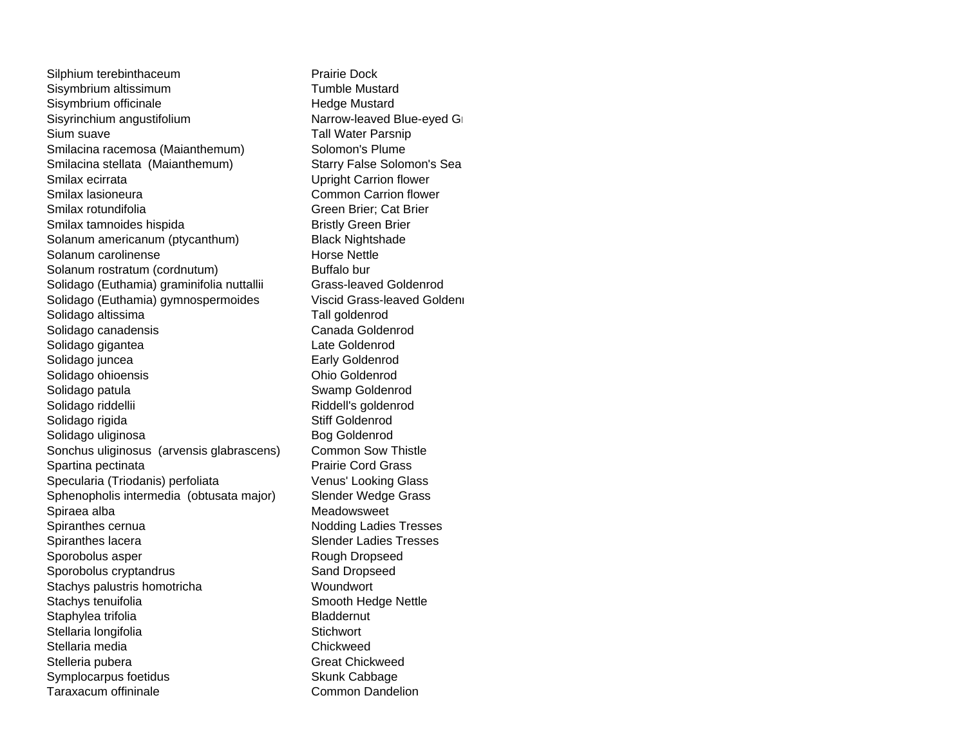Silphium terebinthaceum **Prairie Dock** Sisymbrium altissimum Tumble Mustard Sisymbrium officinale Hedge Mustard Sisyrinchium angustifolium **Narrow-leaved Blue-eyed Gramma** Sium suaveSmilacina racemosa (Maianthemum) Solomon's Plume Smilacina stellata (Maianthemum) Starry False Solomon's Sea Smilax ecirrataSmilax lasioneuraSmilax rotundifoliaSmilax tamnoides hispida Bristly Green Brier Solanum americanum (ptycanthum) Black Nightshade Solanum carolinenseSolanum rostratum (cordnutum) Buffalo bur Solidago (Euthamia) graminifolia nuttallii Grass-leaved Goldenrod Solidago (Euthamia) gymnospermoides Viscid Grass-leaved Goldenr Solidago altissima Tall goldenrod Solidago canadensis Canada Goldenrod Solidago gigantea **Late Goldenrod** Solidago juncea **Early Goldenrod** Solidago ohioensis **Ohio Goldenrod** Solidago patula **Solidago patula** Swamp Goldenrod Solidago riddellii Riddell's goldenrod Solidago rigida **Solidago** rigida **Stiff Goldenrod** Solidago uliginosa Bog Goldenrod Sonchus uliginosus (arvensis glabrascens) Common Sow Thistle Spartina pectinata **Prairie Cord Grass** Specularia (Triodanis) perfoliata Venus' Looking Glass Sphenopholis intermedia (obtusata major) Slender Wedge Grass Spiraea alba Meadowsweet Spiranthes cernua Nodding Ladies Tresses Spiranthes lacera Spiranthes Income Slender Ladies Tresses Sporobolus asper **Rough Dropseed** Sporobolus cryptandrus Sand Dropseed Stachys palustris homotricha Woundwort Stachys tenuifolia Stachys tenuifolia Staphylea trifolia and a state of the Bladdernut Stellaria longifolia **Stellaria** International Stichwort Stellaria media ChickweedStelleria pubera Great Chickweed Symplocarpus foetidus Skunk Cabbage Taraxacum offininale Common Dandelion

 Tall Water Parsnip Upright Carrion flower Common Carrion flower Green Brier; Cat Brier Horse Nettle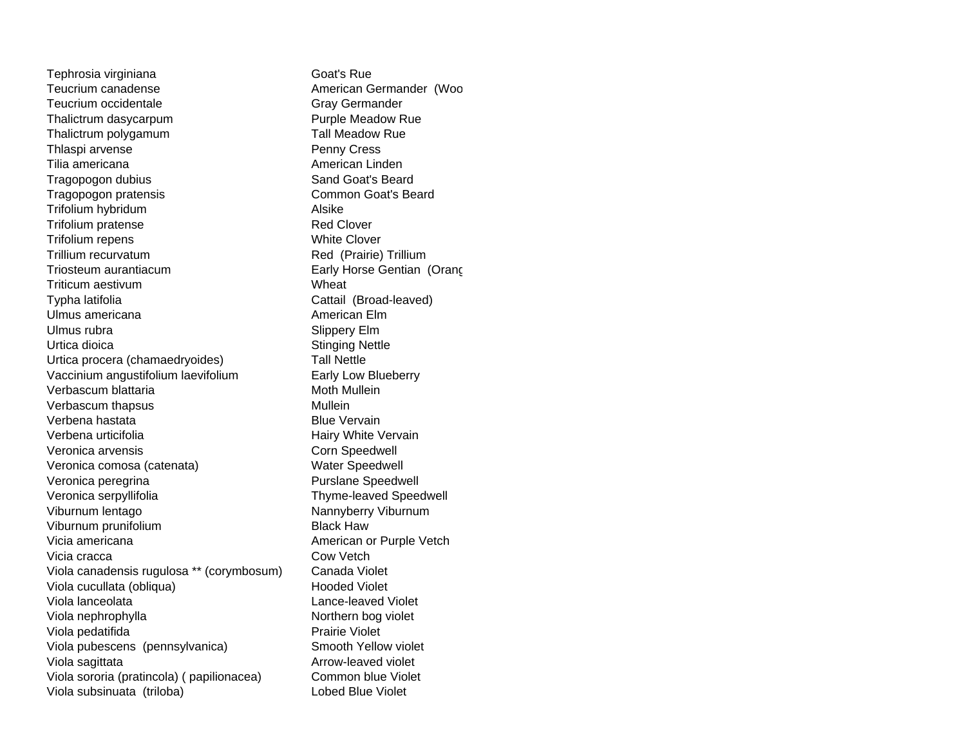Tephrosia virginiana Goat's Rue Teucrium canadense **American Germander (Woo** Teucrium occidentaleThalictrum dasycarpum **Purple Meadow Rue** Thalictrum polygamum Tall Meadow Rue Thlaspi arvense **Penny Cress** Tilia americanaTragopogon dubius Sand Goat's Beard Tragopogon pratensis Common Goat's Beard Trifolium hybridum Alsike Trifolium pratense Red Clover Trifolium repens White Clover Trillium recurvatumTriosteum aurantiacumTriticum aestivumTypha latifolia Cattail (Broad-leaved) Ulmus americanaUlmus rubraUrtica dioicaUrtica procera (chamaedryoides) Tall Nettle Vaccinium angustifolium laevifolium **Early Low Blueberry** Verbascum blattariaVerbascum thapsus Mullein Verbena hastataVerbena urticifoliaVeronica arvensisVeronica comosa (catenata) Water Speedwell Veronica peregrina **Purslane** Speedwell Veronica serpyllifolia Thyme-leaved Speedwell Viburnum lentago Nannyberry Viburnum Viburnum prunifolium **Black Haw** Vicia americanaVicia craccaViola canadensis rugulosa \*\* (corymbosum) Canada Violet Viola cucullata (obliqua) Mooded Violet Viola lanceolataViola nephrophylla Northern bog violet Viola pedatifida **Prairie Violet** Viola pubescens (pennsylvanica) Smooth Yellow violet Viola sagittata Arrow-leaved violet Viola sororia (pratincola) ( papilionacea) Common blue Violet Viola subsinuata (triloba) Lobed Blue Violet

 Gray Germander American Linden Red (Prairie) Trillium Early Horse Gentian (Orang Wheat American Elm Slippery Elm Stinging Nettle Moth Mullein Blue Vervain Hairy White Vervain Corn Speedwell American or Purple Vetch Cow Vetch Lance-leaved Violet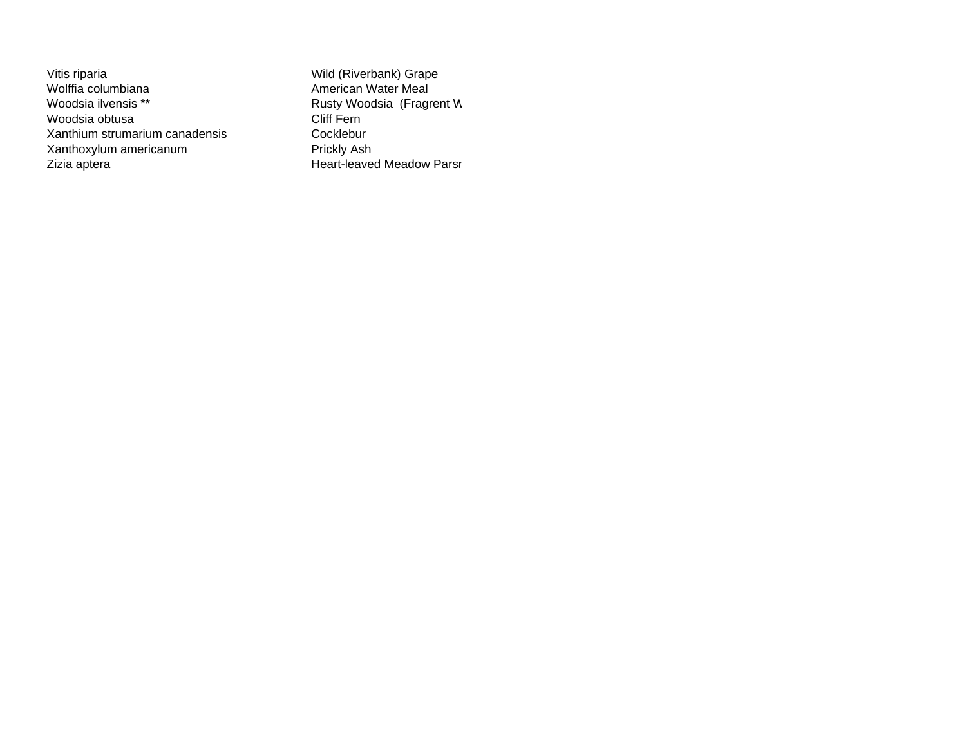Vitis riparia **Wild (Riverbank)** Grape Wolffia columbianaWoodsia ilvensis \*\*Woodsia obtusaXanthium strumarium canadensisXanthoxylum americanum **Prickly Ash** Zizia aptera **Access 22 aptera Access 22 apter** Heart-leaved Meadow Parsn

 American Water Meal Rusty Woodsia (Fragrent W Cliff Fern Cocklebur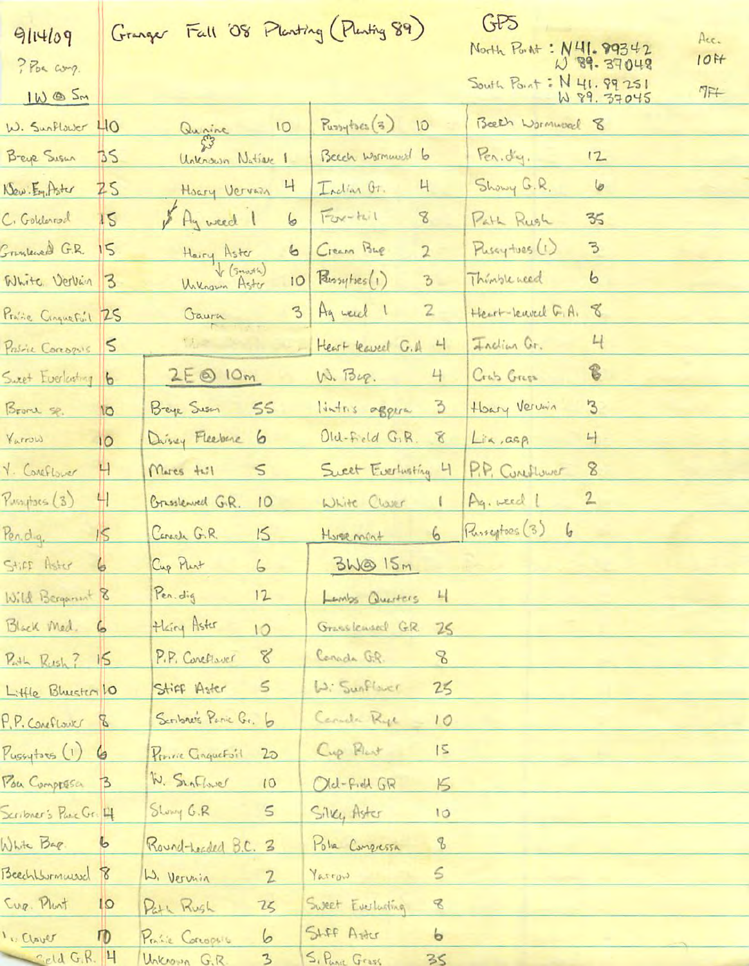|                        |                | Granger Fall '08 Planting (Planting 89)                                          |                                                                          | GF5                                                                         |
|------------------------|----------------|----------------------------------------------------------------------------------|--------------------------------------------------------------------------|-----------------------------------------------------------------------------|
| 9114109                |                |                                                                                  |                                                                          | Acc.<br>North Port : N41.99342                                              |
| ? Por comp.            |                |                                                                                  |                                                                          | $10$ <sup><math>H</math></sup><br>W 89.37048<br>South Point: $N$ 41. 99 251 |
| IW @ Sm                |                |                                                                                  |                                                                          | $7F+$<br>W 89. 37045                                                        |
| W. Sunflawer 40        |                | Quaine 10                                                                        | Purrytres (3)<br>10                                                      | Beech Wormwood 8                                                            |
| Breye Susur            | BS             | Unknown Native 1                                                                 | Beech wormwell to                                                        | Per. dy.<br>12                                                              |
| New Eg Aster Z5        |                | $\mathsf{H}$<br>Hoary Vervain                                                    | Indian Or.<br>4                                                          | Showy G.R.<br>6                                                             |
| C. Goldenrod 15        |                | & Ay weed 1<br>6                                                                 | $F$ ox-teil<br>$\mathcal{S}% _{M_{1},M_{2}}^{\alpha,\beta}(\varepsilon)$ | Path Rush<br>35                                                             |
| Grundened G.R. 15      |                | 6                                                                                | Cream Bup<br>$\overline{2}$                                              | Pussytves (1)<br>3                                                          |
| White Vervin 3         |                | Hairy Aster<br>V (Smoth)<br>William Aster<br> O                                  | $R$ ussytses $($ 1)<br>$\beta$                                           | Thinkle need<br>6                                                           |
| Profile Cinque Fuil 25 |                | Gaura                                                                            | 3 Ag week 1<br>$\mathbf{Z}$                                              | Heart-Leuvell G.A.<br>8                                                     |
| Proble Corrozos        | $\vert$        | $\label{eq:1} \nabla_{\!U} \! \mathcal{Z} = \mathcal{Z} \mathcal{Z} \mathcal{Z}$ | Heart leaved G.A<br>$\overline{4}$                                       | $H_{\rm c}$<br>Faction Gr.                                                  |
| Suret Everlasting 6    |                | $2E\otimes 10m$                                                                  | W. Bup.<br>4                                                             | $^{\circ}$<br>Crab Green                                                    |
| Brone sp.              | <b>IO</b>      | Beye Susan<br>55                                                                 | $\overline{3}$<br>lintris aggera                                         | Heary Vervin<br>$\mathcal{B}$                                               |
| Varrow                 | 10             | Drivey Fleeberg 6                                                                | Old-Field G.R.<br>8                                                      | Lis, asp<br>$\overline{L}$                                                  |
| Y. Conflower           | Н              | Marcs tull<br>$\leq$                                                             | Sweet Everlusting 4                                                      | P.P. Coneflower<br>8                                                        |
| Pussytoes (3)          | 41             | Brisslewed G.R.<br>10                                                            | White Clarer                                                             | Ag. weed 1<br>$\overline{2}$                                                |
| Pendg.                 | $\sqrt{2}$     | Canada G.R.<br>15                                                                | 6<br>Hussement                                                           | Purseptors (3)                                                              |
| Stiff Aster            |                | Cup Plut 6                                                                       | 3M@15m                                                                   |                                                                             |
| Wild Bergament 8       |                | Pen. dig<br>12                                                                   | $\frac{1}{2}$<br>Lambs Questers                                          |                                                                             |
| Black Med. 6           |                | Hairy Aster<br>10                                                                | Grasslewood G.R.                                                         | 25                                                                          |
| Puth Rush? 15          |                | $\mathcal{L}$<br>P.P. Conettsver                                                 | Conada G.R.<br>8                                                         |                                                                             |
| Little Blueston 10     |                | $\leq$<br>Stiff Aster                                                            | W: Sunflower                                                             | 25                                                                          |
| P.P. Coneflower        | $\mathbb{Z}$   | Senbre's Panic Gr. 6                                                             | Canada Ryc                                                               | 10                                                                          |
| $P_{ussytses}(1)$      | 6              | Prince Cinquetoil<br>2 <sub>D</sub>                                              | Cup Plast<br>$ \mathsf{S} $                                              |                                                                             |
| Pou Comprésa           | B              | W. SunFlower<br>10                                                               | Old-Field GR                                                             | $5\overline{5}$                                                             |
| Scribner's Parc Gr. 4  |                | Showy G.R<br>$\leq$                                                              | Silky Aster<br>10                                                        |                                                                             |
| White Bap.             | 6              | Round-Leaded B.C. 3                                                              | B<br>Pola Congressa                                                      |                                                                             |
| Beech Wommersel 8      |                | W. Vervin<br>$\mathfrak{L}$                                                      | $\leq$<br>Varrow                                                         |                                                                             |
| Cup. Plant             | $\overline{Q}$ | 75<br>Path Rush                                                                  | $\mathcal{B}$<br>Sweet Everlusting                                       |                                                                             |
| Jual !!                | $\sqrt{0}$     | 6<br>Profile Corrogente                                                          | SLFF Aster<br>$\epsilon$                                                 |                                                                             |
| Celd G.R. 4            |                | $\mathbf{3}$<br>Unknown G.R.                                                     | S. Para Grass<br>35                                                      |                                                                             |

 $\mathbf{I}$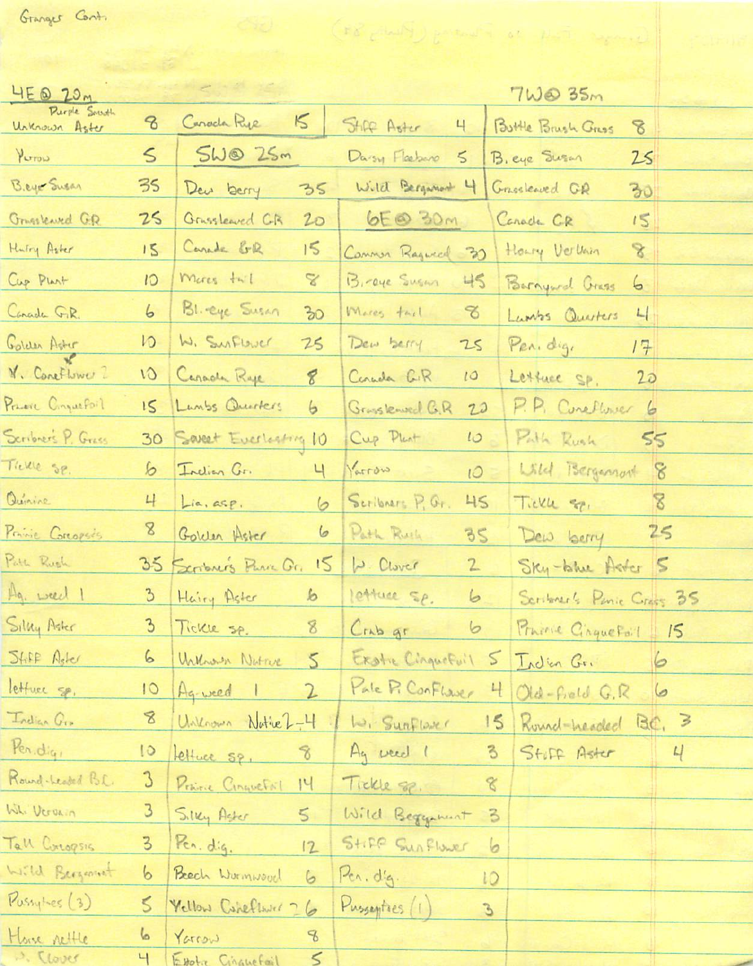Granger Cont.

| $4E\otimes 20M$               |                 |                               |                                | 7WQ35m                        |    |
|-------------------------------|-----------------|-------------------------------|--------------------------------|-------------------------------|----|
| Purple South<br>Unknown Aster | 8               | $\overline{K}$<br>Caracta Rye | SHAP Aster<br>4                | Buttle Brush Gress<br>8       |    |
| YUTON                         | $\leq$          | 5W@25m                        | Darsy Fleeberg 5               | B. eye Susan<br>25            |    |
| B.eyer Susan                  | 35              | Deu berry<br>35               | Wild Bergamant 4               | Grasslewed GR<br>30           |    |
| Grasslewed G.R.               | 25              | Grusslewed CR<br>20           | 6E@ 30m                        | Canada CR<br>15               |    |
| Hutry Aster                   | 15              | Carada ER<br>15               | Commun Ragued 30               | Heary Vervoir<br>8            |    |
| Cup Plant                     | $\sqrt{2}$      | Mores twil<br>$\mathbb Z$     | Biraye Sugar<br>45             | Burnyard Crass<br>6           |    |
| Canada G.R.                   | 6               | Bl. eye Susan<br>30           | Mares tail<br>$\infty$         | Lambs Quarters<br>L           |    |
| Golden Aster                  | $\sqrt{ }$      | W. Surflower<br>75            | Dew berry<br>25                | Pen. dig.<br>17               |    |
| V. Coneflower 2               | w               | Caracte Raje<br>8             | Conada C.R<br>10               | Lettuce SP.<br>20             |    |
| Present Conquefoil            | 15              | Lunbs Questers<br>6           | Grasslewed G.R<br>20           | P.P. Coneflower<br>$\epsilon$ |    |
| Seribrers P. Grass            | 30 <sub>2</sub> | Saveet Everleating 10         | Cup Plant<br>10                | Path Rush                     | 55 |
| Treme se.                     | 6               | Indian Gr.<br>Ч               | Varrow<br>10                   | Wild Bergannon                | 8  |
| Quinine                       | 4               | Lin, asp.<br>6                | Scribners P. Gr.<br>45         | Tickle sp.                    | 8  |
| Prince Conopses               | 8               | 6<br>Golden Aster             | Path Ruch<br>35                | Dew berry                     | 25 |
| Path Rush                     |                 | 15<br>35 Seriours Puric Gr.   | 1. Clover<br>$\mathbb{Z}$      | Sky-blue After 5              |    |
| Ag. weed 1                    | $\mathbf{B}$    | $\mathbf{b}$<br>Hairy Aster   | lettuce sp.<br>6               | Scribner's Penie Crass 35     |    |
| Silly Aster                   |                 | 3 Tickle sp.<br>8             | $Crab$ gr<br>$\circ$           | Prairie Cinquefail            | 15 |
| Stiff Aster                   | 6               | Urknown Netrue<br>5           | Exatre Cinquefuil 5 Indian Gr. |                               | 6  |
| lettuce sp.                   | $\overline{0}$  | 2<br>Ag-weed 1                | Pale P. ConFlaver              | 4 Old-Field G.R               | 6  |
| Indian Gro                    | 8               | Unknown Nathel-4              | W. Sunflaver                   | Round-headed BC, 3<br>15      |    |
| Pen.digi                      | $\circ$         | $\delta$<br>Lettuce sp.       | Ag weed 1                      | 3<br>Stiff Aster              | 4  |
| Round-Leaded B.C.             | 3               | Prince Cinquetoil<br>14       | Tickle 8.                      | $\mathcal{L}$                 |    |
| Whi Verenin                   | 3               | Silky Aster<br>$5 -$          | Wild Beggenent                 | $\beta$                       |    |
| Tall Corogsis                 | $\overline{3}$  | Pen. dig.<br>12               | Stiff Sunflower                | 6                             |    |
| Wild Bergeomet                | 6               | Beech Wurmwood<br>6           | Pen. dig.                      | 10                            |    |
| Pussytes (3)                  | S               | Vellow Caneflewer 26          | Pussentres (1)                 | $\mathcal{L}$                 |    |
| Home nettle                   | 6               | $\mathcal{B}$<br>Yarrow       |                                |                               |    |
| D. Clover                     | $\mathbb{H}$    | $\leq$<br>Estative Cinquefail |                                |                               |    |

(18 Composition of the record) states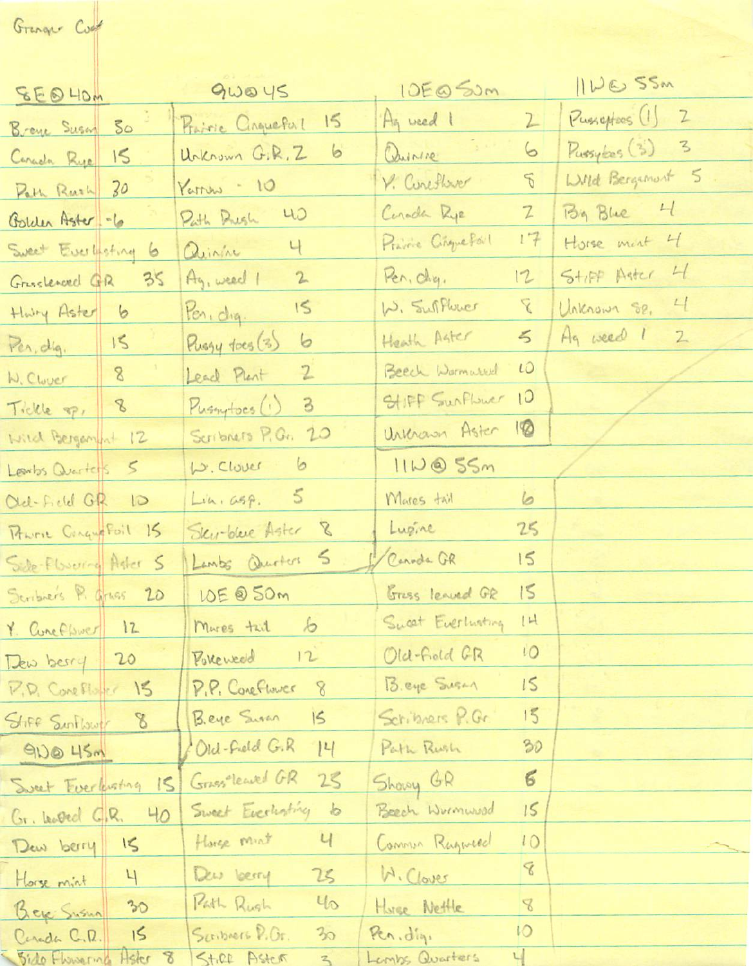Granger Cost

| SEQ HOM                            |         | gwoys                          | 10E@SUM             |                | IIWE 55M         |
|------------------------------------|---------|--------------------------------|---------------------|----------------|------------------|
| Breve Susan 30                     |         | 15<br>Prairie Cinqueful        | Ag weed 1           | 2              | Pusseptoes (1) 2 |
| Carada Rye 15                      |         | 6<br>Urkrown G.R.Z             | Quinne              | 6              | Pussyles (3) 3   |
| Path Rush 30                       |         | $Yarnw - 10$                   | V. Coreflixer       | $\mathcal{L}$  | Wild Bergament 5 |
| Golden Aster -6                    |         | Path Rush 40                   | Corada Rye          | $\mathbb{Z}$   | By Blue 4        |
| Sweet Everlisting 6                |         | Quinin 4                       | Prairie Cinque Port | 17             | Horse ment 4     |
| Gresslerved GR 35                  |         | Ay, weed 1 2                   | Pen, chy.           | 12             | Stiff Aster 4    |
| Holy Aster 6                       |         | $ten.dq.$ 15                   | W. Sufflower        | $\overline{Y}$ | Unknown Se, 4    |
| Pen, dig. 15                       |         | 6<br>Pussy foes (3)            | Heath Agter         | 5              | Ag weed 1 2      |
| W. Clover 8                        |         | $\overline{2}$<br>Lead Plant   | Beech Warmared      | 10             |                  |
| Tickle op, 8                       |         | $\overline{3}$<br>Pussy toes() | SHIFF SunFlower 10  |                |                  |
| Wild Bergament 12                  |         | Scribners P.G. 20              | Urkrain Aster       | $\sqrt{2}$     |                  |
| Lewiss Quarters 5                  |         | W. Clover 6                    | IID@55m             |                |                  |
| Old-Field GR 10                    |         | Lin. G5P. 5                    | Mares tail          | 6              |                  |
| Province ConqueFoil 15             |         | Sky-bleve Aster 8              | Lugine              | 25             |                  |
| Side-Flowering Agler 5             |         | Lambs Questers 5               | Canoda GR           | 15             |                  |
| Scribners P. Gruss 20              |         | 10E @ 50m                      | Gress leaved GR     | 15             |                  |
|                                    |         | Mures tail 6                   | Sweet Everlusting   | 1H             |                  |
| Y. Cunefbuer 12                    |         | Pollewed 12                    | Old-Field GR        | 10             |                  |
| Dew berry 20<br>P.D. Coneflorer 15 |         | P.P. Coneflower<br>8           | Beye Sugar          | 15             |                  |
| Stiff SunFlower 8                  |         | Beye Sisan<br> 5               | Scribners P.Gr.     | 15             |                  |
| 90045m                             |         | Old-Field G.R<br> 4            | Path Rush           | 30             |                  |
|                                    |         | Grass-leaved GR<br>25          | Showy GR            | $\epsilon$     |                  |
| Sweet Everbusting 15               |         | Sweet Everlasting<br>$\dot{b}$ | Beech Wormwood      | 15             |                  |
| Gr. Leoved G.R. 40<br>Dew berry    | IS      | Harge mint<br>Ч                | Commun Rugueed      | 10             |                  |
|                                    | 4       | Dew loery<br>25                | M. Clover           | 8              |                  |
| Horse mint                         | 30      | 40<br>Path Rush                | Hurse Nettle        | $\mathscr{S}$  |                  |
| Bey Susua<br>Carada C.D.           | 15      | Scribers P.Or.<br>30           | Pen, dig.           | 10             |                  |
| Sido Fhowering                     | Hster 8 | Stire Aster<br>3               | Lembs Quarters      | $\frac{1}{2}$  |                  |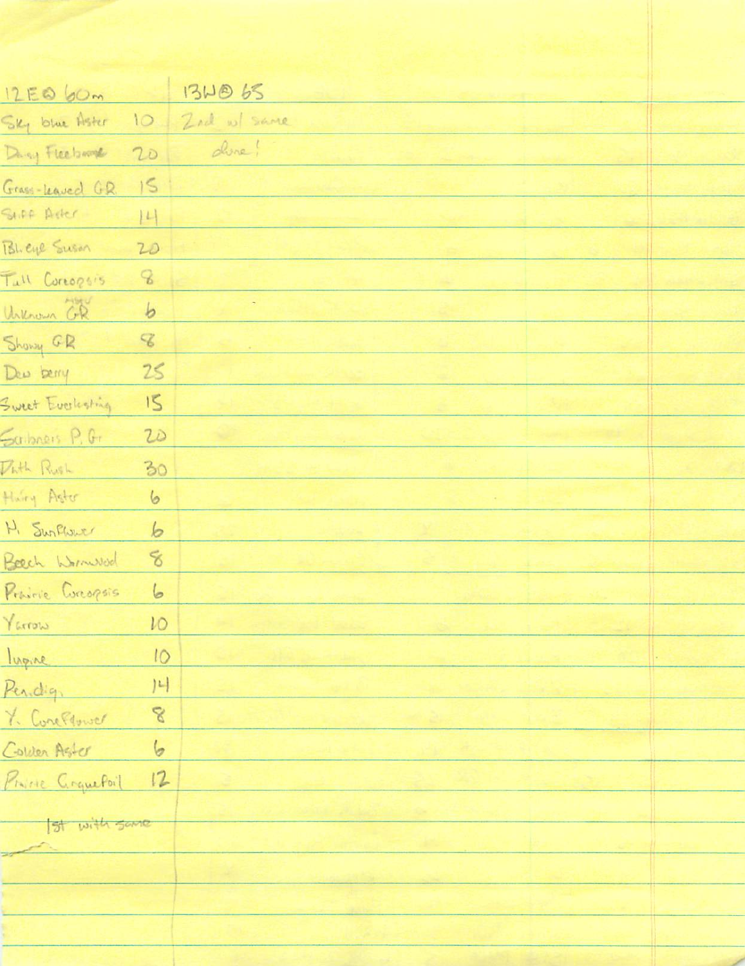| 12EQ 60m            |                             | 13WB 65        |  |
|---------------------|-----------------------------|----------------|--|
| Sky blue Aster      |                             | 10 Zed w/ same |  |
| Dany Fleebarre      | 20                          | dire!          |  |
| Grass-Leaved G.R.   | 15                          |                |  |
| SHIPA Ader          | 14                          |                |  |
| Bheye Susan         | 20                          |                |  |
| Tull Coreogisis     | $\mathcal{C}$               |                |  |
| Unknown GR          | $\mathfrak b$               |                |  |
| Showy GR            | $\mathcal{L}_{\mathcal{S}}$ |                |  |
| Dew berry           | 25                          |                |  |
| Sweet Evoluting     | 15                          |                |  |
| Saibners P. G.      | 20                          |                |  |
| Puth Rush           | 30                          |                |  |
| Hurry Aster         | 6                           |                |  |
| H. Surflower        | 6                           |                |  |
| Beech Wormwood      | 8                           |                |  |
| Prairie Corcopsis 6 |                             |                |  |
| Varrow              | 10                          |                |  |
| lugine              | 10                          |                |  |
| Pendig              | 4                           |                |  |
| 7. ConePlower       | $\mathcal{S}$               |                |  |
| Colder Aster        | 6                           |                |  |
| Prince GrquePoil    | 12                          |                |  |
|                     |                             |                |  |
| Ist with same       |                             |                |  |
|                     |                             |                |  |
|                     |                             |                |  |
|                     |                             |                |  |
|                     |                             |                |  |
|                     |                             |                |  |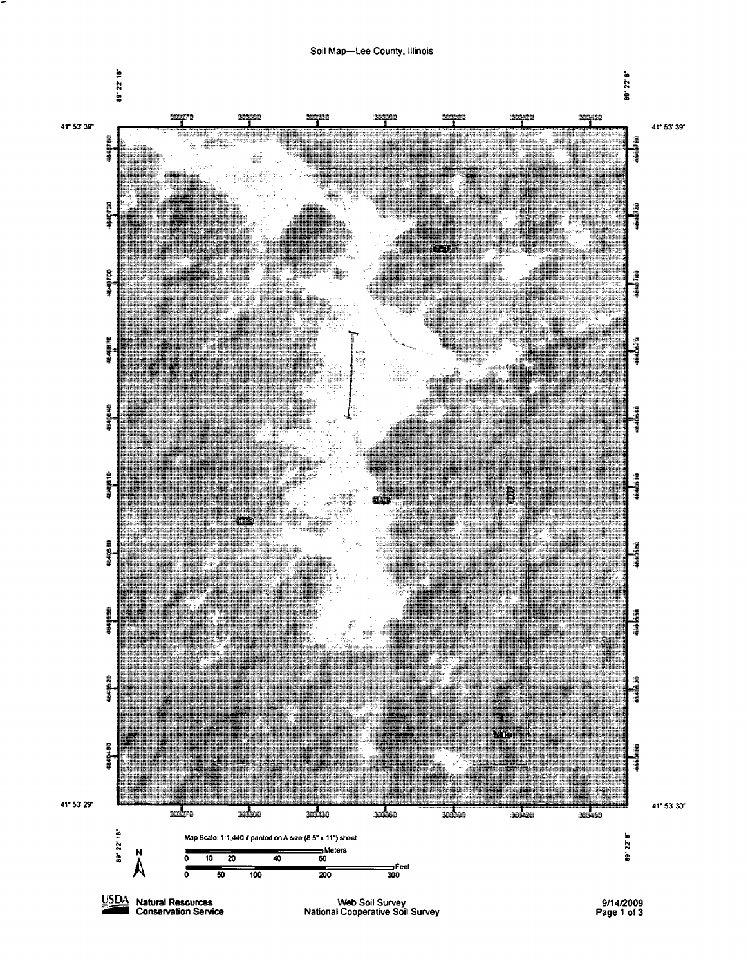